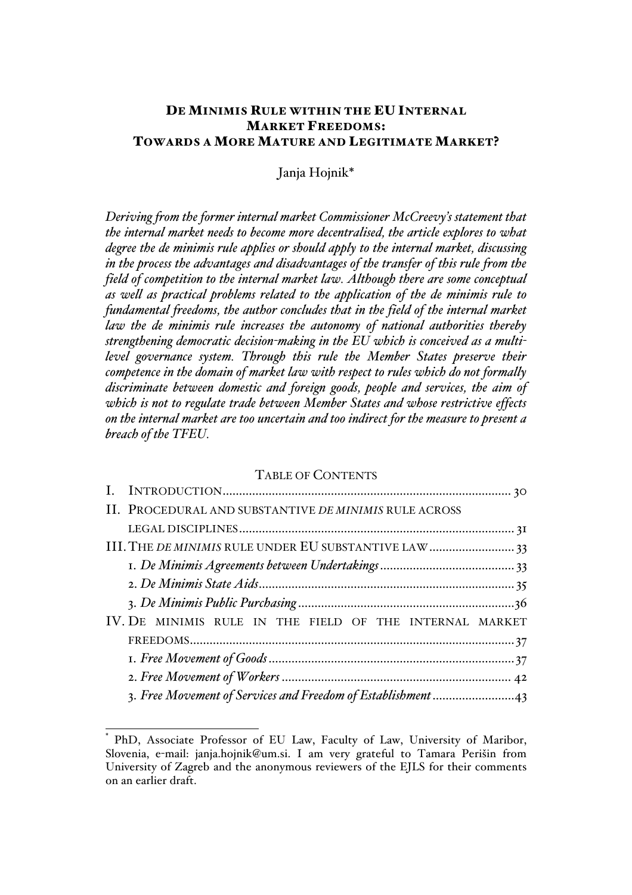# DE MINIMIS RULE WITHIN THE EU INTERNAL MARKET FREEDOMS: TOWARDS A MORE MATURE AND LEGITIMATE MARKET?

Janja Hojnik\*

*Deriving from the former internal market Commissioner McCreevy's statement that the internal market needs to become more decentralised, the article explores to what degree the de minimis rule applies or should apply to the internal market, discussing in the process the advantages and disadvantages of the transfer of this rule from the field of competition to the internal market law. Although there are some conceptual as well as practical problems related to the application of the de minimis rule to fundamental freedoms, the author concludes that in the field of the internal market law the de minimis rule increases the autonomy of national authorities thereby strengthening democratic decision-making in the EU which is conceived as a multilevel governance system. Through this rule the Member States preserve their competence in the domain of market law with respect to rules which do not formally discriminate between domestic and foreign goods, people and services, the aim of which is not to regulate trade between Member States and whose restrictive effects on the internal market are too uncertain and too indirect for the measure to present a breach of the TFEU.*

## TABLE OF CONTENTS

| II. PROCEDURAL AND SUBSTANTIVE DE MINIMIS RULE ACROSS   |  |
|---------------------------------------------------------|--|
|                                                         |  |
| III. THE DE MINIMIS RULE UNDER EU SUBSTANTIVE LAW  33   |  |
|                                                         |  |
|                                                         |  |
|                                                         |  |
| IV. DE MINIMIS RULE IN THE FIELD OF THE INTERNAL MARKET |  |
|                                                         |  |
|                                                         |  |
|                                                         |  |
|                                                         |  |

PhD, Associate Professor of EU Law, Faculty of Law, University of Maribor, Slovenia, e-mail: janja.hojnik@um.si. I am very grateful to Tamara Perišin from University of Zagreb and the anonymous reviewers of the EJLS for their comments on an earlier draft.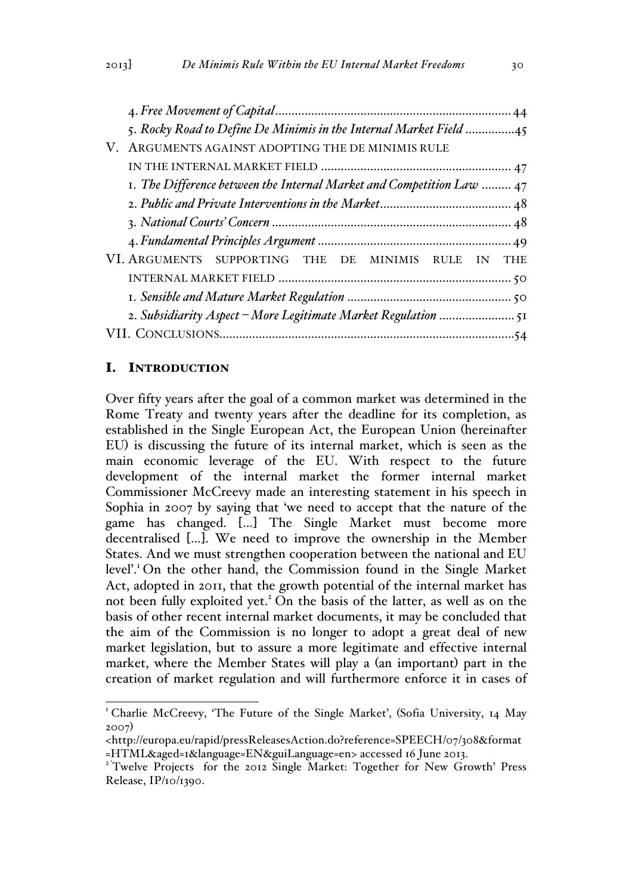| 5. Rocky Road to Define De Minimis in the Internal Market Field 45    |
|-----------------------------------------------------------------------|
| V. ARGUMENTS AGAINST ADOPTING THE DE MINIMIS RULE                     |
|                                                                       |
| I. The Difference between the Internal Market and Competition Law  47 |
|                                                                       |
|                                                                       |
|                                                                       |
| VI. ARGUMENTS SUPPORTING THE DE MINIMIS RULE IN THE                   |
|                                                                       |
|                                                                       |
|                                                                       |
|                                                                       |

# I. INTRODUCTION

Over fifty years after the goal of a common market was determined in the Rome Treaty and twenty years after the deadline for its completion, as established in the Single European Act, the European Union (hereinafter EU) is discussing the future of its internal market, which is seen as the main economic leverage of the EU. With respect to the future development of the internal market the former internal market Commissioner McCreevy made an interesting statement in his speech in Sophia in 2007 by saying that 'we need to accept that the nature of the game has changed. […] The Single Market must become more decentralised […]. We need to improve the ownership in the Member States. And we must strengthen cooperation between the national and EU level'.1 On the other hand, the Commission found in the Single Market Act, adopted in 2011, that the growth potential of the internal market has not been fully exploited yet.<sup>2</sup> On the basis of the latter, as well as on the basis of other recent internal market documents, it may be concluded that the aim of the Commission is no longer to adopt a great deal of new market legislation, but to assure a more legitimate and effective internal market, where the Member States will play a (an important) part in the creation of market regulation and will furthermore enforce it in cases of

<sup>&</sup>lt;sup>1</sup> Charlie McCreevy, 'The Future of the Single Market', (Sofia University, 14 May 2007)

<sup>&</sup>lt;http://europa.eu/rapid/pressReleasesAction.do?reference=SPEECH/07/308&format =HTML&aged=1&language=EN&guiLanguage=en> accessed 16 June 2013.

<sup>&</sup>lt;sup>2</sup>'Twelve Projects for the 2012 Single Market: Together for New Growth' Press Release, IP/10/1390.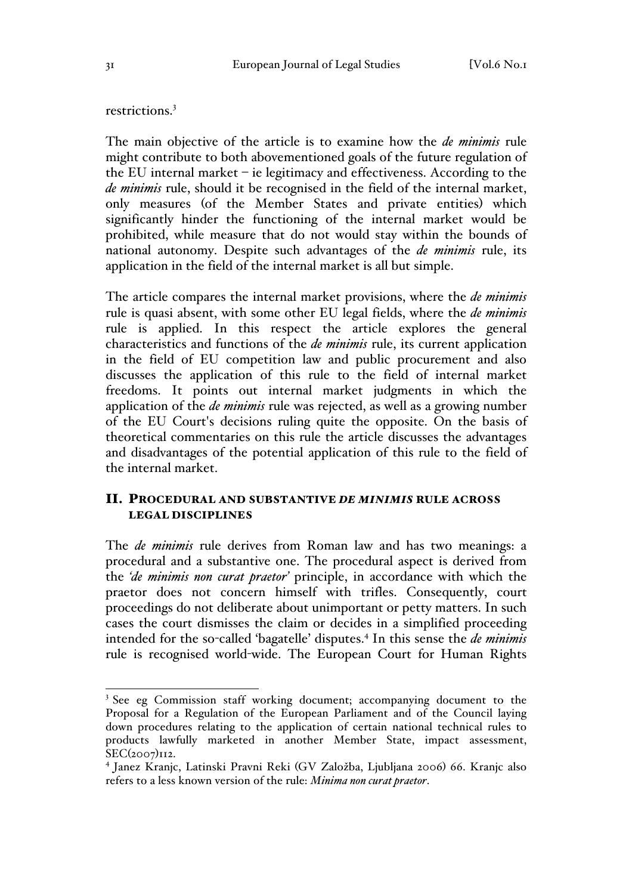restrictions.<sup>3</sup>

The main objective of the article is to examine how the *de minimis* rule might contribute to both abovementioned goals of the future regulation of the EU internal market – ie legitimacy and effectiveness. According to the *de minimis* rule, should it be recognised in the field of the internal market, only measures (of the Member States and private entities) which significantly hinder the functioning of the internal market would be prohibited, while measure that do not would stay within the bounds of national autonomy. Despite such advantages of the *de minimis* rule, its application in the field of the internal market is all but simple.

The article compares the internal market provisions, where the *de minimis* rule is quasi absent, with some other EU legal fields, where the *de minimis* rule is applied. In this respect the article explores the general characteristics and functions of the *de minimis* rule, its current application in the field of EU competition law and public procurement and also discusses the application of this rule to the field of internal market freedoms. It points out internal market judgments in which the application of the *de minimis* rule was rejected, as well as a growing number of the EU Court's decisions ruling quite the opposite. On the basis of theoretical commentaries on this rule the article discusses the advantages and disadvantages of the potential application of this rule to the field of the internal market.

# II. PROCEDURAL AND SUBSTANTIVE *DE MINIMIS* RULE ACROSS LEGAL DISCIPLINES

The *de minimis* rule derives from Roman law and has two meanings: a procedural and a substantive one. The procedural aspect is derived from the *'de minimis non curat praetor'* principle, in accordance with which the praetor does not concern himself with trifles. Consequently, court proceedings do not deliberate about unimportant or petty matters. In such cases the court dismisses the claim or decides in a simplified proceeding intended for the so-called 'bagatelle' disputes.4 In this sense the *de minimis* rule is recognised world-wide. The European Court for Human Rights

<sup>&</sup>lt;sup>3</sup> See eg Commission staff working document; accompanying document to the Proposal for a Regulation of the European Parliament and of the Council laying down procedures relating to the application of certain national technical rules to products lawfully marketed in another Member State, impact assessment, SEC(2007)112.

<sup>4</sup> Janez Kranjc, Latinski Pravni Reki (GV Založba, Ljubljana 2006) 66. Kranjc also refers to a less known version of the rule: *Minima non curat praetor*.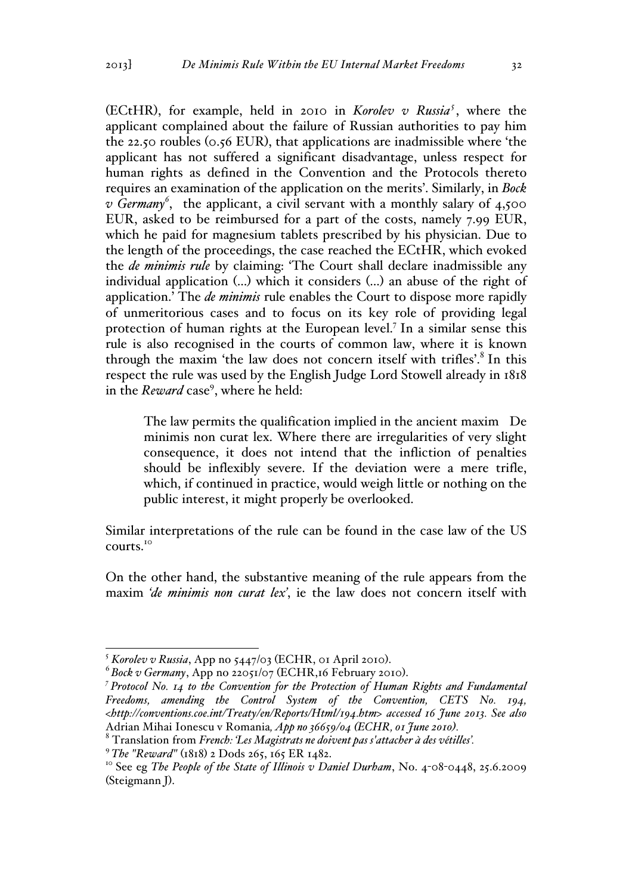(ECtHR), for example, held in 2010 in *Korolev v Russia<sup>5</sup>* , where the applicant complained about the failure of Russian authorities to pay him the 22.50 roubles (0.56 EUR), that applications are inadmissible where 'the applicant has not suffered a significant disadvantage, unless respect for human rights as defined in the Convention and the Protocols thereto requires an examination of the application on the merits'. Similarly, in *Bock v Germany<sup>6</sup>* , the applicant, a civil servant with a monthly salary of 4,500 EUR, asked to be reimbursed for a part of the costs, namely 7.99 EUR, which he paid for magnesium tablets prescribed by his physician. Due to the length of the proceedings, the case reached the ECtHR, which evoked the *de minimis rule* by claiming: 'The Court shall declare inadmissible any individual application (…) which it considers (…) an abuse of the right of application.' The *de minimis* rule enables the Court to dispose more rapidly of unmeritorious cases and to focus on its key role of providing legal protection of human rights at the European level.7 In a similar sense this rule is also recognised in the courts of common law, where it is known through the maxim 'the law does not concern itself with trifles'.<sup>8</sup> In this respect the rule was used by the English Judge Lord Stowell already in 1818 in the *Reward* case<sup>9</sup>, where he held:

The law permits the qualification implied in the ancient maxim De minimis non curat lex. Where there are irregularities of very slight consequence, it does not intend that the infliction of penalties should be inflexibly severe. If the deviation were a mere trifle, which, if continued in practice, would weigh little or nothing on the public interest, it might properly be overlooked.

Similar interpretations of the rule can be found in the case law of the US courts.<sup>10</sup>

On the other hand, the substantive meaning of the rule appears from the maxim *'de minimis non curat lex'*, ie the law does not concern itself with

<sup>5</sup> *Korolev v Russia*, App no 5447/03 (ECHR, 01 April 2010). <sup>6</sup> *Bock v Germany*, App no 22051/07 (ECHR,16 February 2010). *<sup>7</sup>*

*Protocol No. 14 to the Convention for the Protection of Human Rights and Fundamental Freedoms, amending the Control System of the Convention, CETS No. 194, <http://conventions.coe.int/Treaty/en/Reports/Html/194.htm> accessed 16 June 2013. See also*  Adrian Mihai Ionescu v Romania*, App no 36659/04 (ECHR, 01 June 2010).* <sup>8</sup> Translation from *French: 'Les Magistrats ne doivent pas s'attacher à des vétilles'.*

<sup>&</sup>lt;sup>9</sup> The "Reward" (1818) 2 Dods 265, 165 ER 1482.<br><sup>10</sup> See eg *The People of the State of Illinois v Daniel Durham*, No. 4-08-0448, 25.6.2009 (Steigmann J).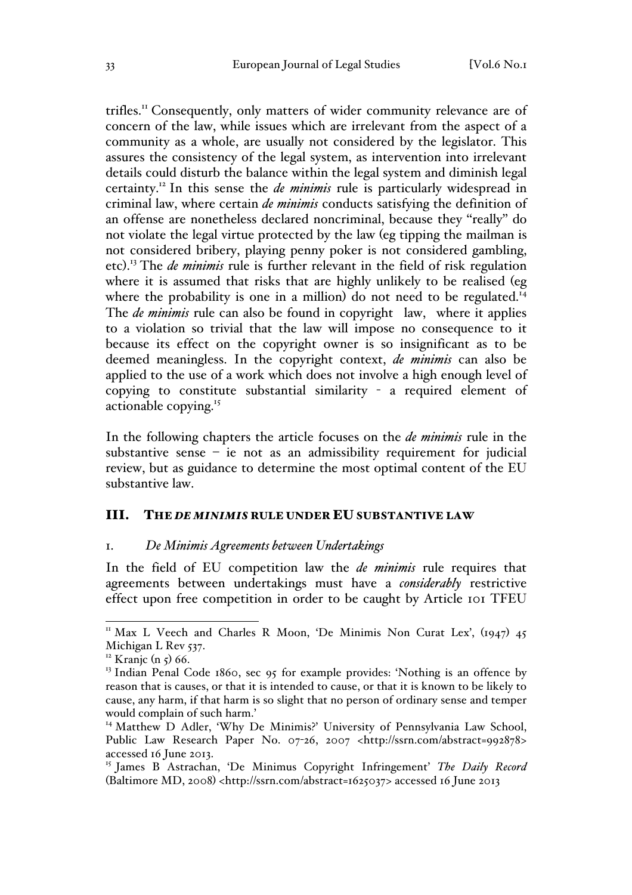trifles.<sup>11</sup> Consequently, only matters of wider community relevance are of concern of the law, while issues which are irrelevant from the aspect of a community as a whole, are usually not considered by the legislator. This assures the consistency of the legal system, as intervention into irrelevant details could disturb the balance within the legal system and diminish legal certainty.12 In this sense the *de minimis* rule is particularly widespread in criminal law, where certain *de minimis* conducts satisfying the definition of an offense are nonetheless declared noncriminal, because they ''really'' do not violate the legal virtue protected by the law (eg tipping the mailman is not considered bribery, playing penny poker is not considered gambling, etc). <sup>13</sup> The *de minimis* rule is further relevant in the field of risk regulation where it is assumed that risks that are highly unlikely to be realised (eg where the probability is one in a million) do not need to be regulated.<sup>14</sup> The *de minimis* rule can also be found in copyright law, where it applies to a violation so trivial that the law will impose no consequence to it because its effect on the copyright owner is so insignificant as to be deemed meaningless. In the copyright context, *de minimis* can also be applied to the use of a work which does not involve a high enough level of copying to constitute substantial similarity - a required element of actionable copying. 15

In the following chapters the article focuses on the *de minimis* rule in the substantive sense  $-$  ie not as an admissibility requirement for judicial review, but as guidance to determine the most optimal content of the EU substantive law.

#### III. THE *DE MINIMIS* RULE UNDER EU SUBSTANTIVE LAW

#### 1. *De Minimis Agreements between Undertakings*

In the field of EU competition law the *de minimis* rule requires that agreements between undertakings must have a *considerably* restrictive effect upon free competition in order to be caught by Article 101 TFEU

<sup>&</sup>lt;sup>11</sup> Max L Veech and Charles R Moon, 'De Minimis Non Curat Lex',  $(1947)45$ Michigan L Rev 537.

<sup>&</sup>lt;sup>12</sup> Kranjc (n  $5)$  66.

<sup>&</sup>lt;sup>13</sup> Indian Penal Code 1860, sec 95 for example provides: 'Nothing is an offence by reason that is causes, or that it is intended to cause, or that it is known to be likely to cause, any harm, if that harm is so slight that no person of ordinary sense and temper would complain of such harm.'

<sup>&</sup>lt;sup>14</sup> Matthew D Adler, 'Why De Minimis?' University of Pennsylvania Law School, Public Law Research Paper No. 07-26, 2007 <http://ssrn.com/abstract=992878> accessed 16 June 2013.

<sup>15</sup> James B Astrachan, 'De Minimus Copyright Infringement' *The Daily Record*  (Baltimore MD, 2008) <http://ssrn.com/abstract=1625037> accessed 16 June 2013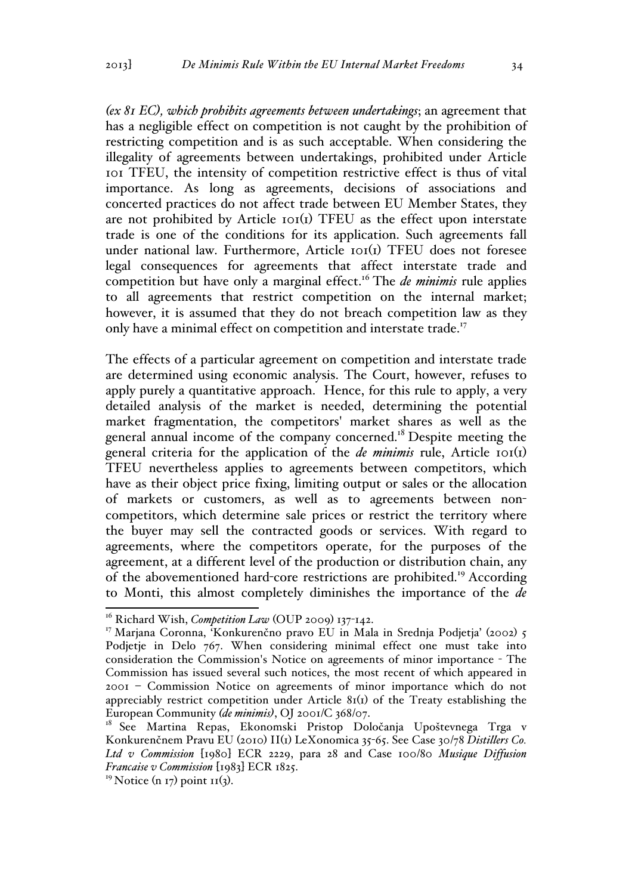*(ex 81 EC), which prohibits agreements between undertakings*; an agreement that has a negligible effect on competition is not caught by the prohibition of restricting competition and is as such acceptable. When considering the illegality of agreements between undertakings, prohibited under Article 101 TFEU, the intensity of competition restrictive effect is thus of vital importance. As long as agreements, decisions of associations and concerted practices do not affect trade between EU Member States, they are not prohibited by Article  $\text{tot}(I)$  TFEU as the effect upon interstate trade is one of the conditions for its application. Such agreements fall under national law. Furthermore, Article 101(1) TFEU does not foresee legal consequences for agreements that affect interstate trade and competition but have only a marginal effect.<sup>16</sup> The *de minimis* rule applies to all agreements that restrict competition on the internal market; however, it is assumed that they do not breach competition law as they only have a minimal effect on competition and interstate trade.<sup>17</sup>

The effects of a particular agreement on competition and interstate trade are determined using economic analysis. The Court, however, refuses to apply purely a quantitative approach. Hence, for this rule to apply, a very detailed analysis of the market is needed, determining the potential market fragmentation, the competitors' market shares as well as the general annual income of the company concerned.18 Despite meeting the general criteria for the application of the *de minimis* rule, Article 101(1) TFEU nevertheless applies to agreements between competitors, which have as their object price fixing, limiting output or sales or the allocation of markets or customers, as well as to agreements between noncompetitors, which determine sale prices or restrict the territory where the buyer may sell the contracted goods or services. With regard to agreements, where the competitors operate, for the purposes of the agreement, at a different level of the production or distribution chain, any of the abovementioned hard-core restrictions are prohibited.<sup>19</sup> According to Monti, this almost completely diminishes the importance of the *de* 

<sup>&</sup>lt;sup>16</sup> Richard Wish, *Competition Law* (OUP 2009) 137-142.

<sup>&</sup>lt;sup>17</sup> Marjana Coronna, 'Konkurenčno pravo EU in Mala in Srednja Podjetja' (2002) 5 Podjetje in Delo 767. When considering minimal effect one must take into consideration the Commission's Notice on agreements of minor importance - The Commission has issued several such notices, the most recent of which appeared in 2001 – Commission Notice on agreements of minor importance which do not appreciably restrict competition under Article  $8I(1)$  of the Treaty establishing the European Community *(de minimis)*, OJ 2001/C 368/07.

<sup>&</sup>lt;sup>18</sup> See Martina Repas, Ekonomski Pristop Določanja Upoštevnega Trga v Konkurenčnem Pravu EU (2010) II(1) LeXonomica 35-65. See Case 30/78 *Distillers Co. Ltd v Commission* [1980] ECR 2229, para 28 and Case 100/80 *Musique Diffusion Francaise v Commission* [1983] ECR 1825.

 $19$  Notice (n 17) point 11(3).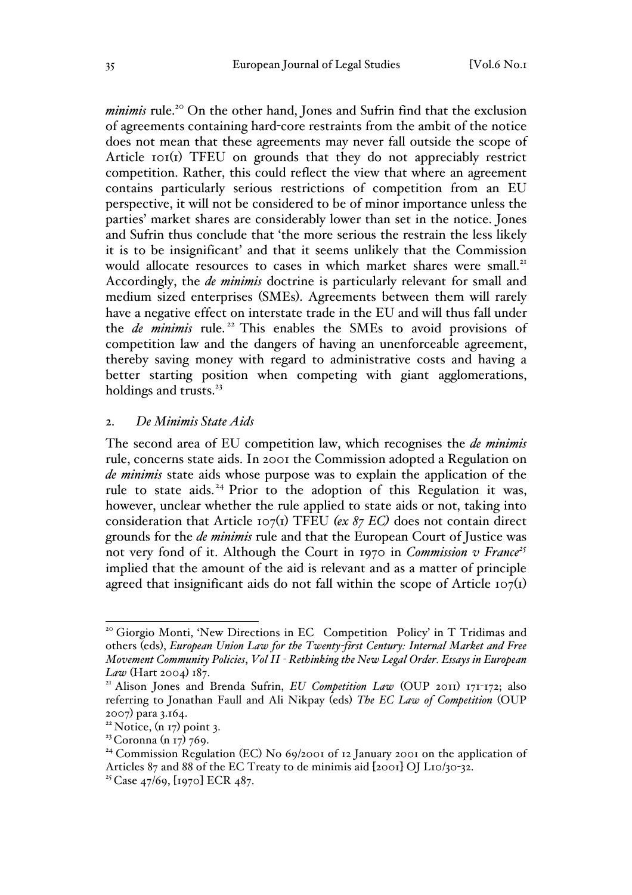*minimis* rule.<sup>20</sup> On the other hand, Jones and Sufrin find that the exclusion of agreements containing hard-core restraints from the ambit of the notice does not mean that these agreements may never fall outside the scope of Article 101(1) TFEU on grounds that they do not appreciably restrict competition. Rather, this could reflect the view that where an agreement contains particularly serious restrictions of competition from an EU perspective, it will not be considered to be of minor importance unless the parties' market shares are considerably lower than set in the notice. Jones and Sufrin thus conclude that 'the more serious the restrain the less likely it is to be insignificant' and that it seems unlikely that the Commission would allocate resources to cases in which market shares were small.<sup>21</sup> Accordingly, the *de minimis* doctrine is particularly relevant for small and medium sized enterprises (SMEs). Agreements between them will rarely have a negative effect on interstate trade in the EU and will thus fall under the *de minimis* rule.<sup>22</sup> This enables the SMEs to avoid provisions of competition law and the dangers of having an unenforceable agreement, thereby saving money with regard to administrative costs and having a better starting position when competing with giant agglomerations, holdings and trusts.<sup>23</sup>

#### 2. *De Minimis State Aids*

The second area of EU competition law, which recognises the *de minimis* rule, concerns state aids. In 2001 the Commission adopted a Regulation on *de minimis* state aids whose purpose was to explain the application of the rule to state aids. <sup>24</sup> Prior to the adoption of this Regulation it was, however, unclear whether the rule applied to state aids or not, taking into consideration that Article 107(1) TFEU *(ex 87 EC)* does not contain direct grounds for the *de minimis* rule and that the European Court of Justice was not very fond of it. Although the Court in 1970 in *Commission v France<sup>25</sup>* implied that the amount of the aid is relevant and as a matter of principle agreed that insignificant aids do not fall within the scope of Article  $107(1)$ 

<sup>&</sup>lt;sup>20</sup> Giorgio Monti, 'New Directions in EC Competition Policy' in T Tridimas and others (eds), *European Union Law for the Twenty-first Century: Internal Market and Free Movement Community Policies*, *Vol II - Rethinking the New Legal Order. Essays in European* 

<sup>&</sup>lt;sup>21</sup> Alison Jones and Brenda Sufrin, *EU Competition Law* (OUP 2011) 171-172; also referring to Jonathan Faull and Ali Nikpay (eds) *The EC Law of Competition* (OUP 2007) para 3.164.<br><sup>22</sup> Notice, (n 17) point 3.

<sup>&</sup>lt;sup>23</sup> Coronna (n 17) 769.

<sup>&</sup>lt;sup>24</sup> Commission Regulation (EC) No 69/2001 of 12 January 2001 on the application of Articles 87 and 88 of the EC Treaty to de minimis aid [2001] OJ L10/30-32.

<sup>&</sup>lt;sup>25</sup> Case  $47/69$ , [1970] ECR  $487$ .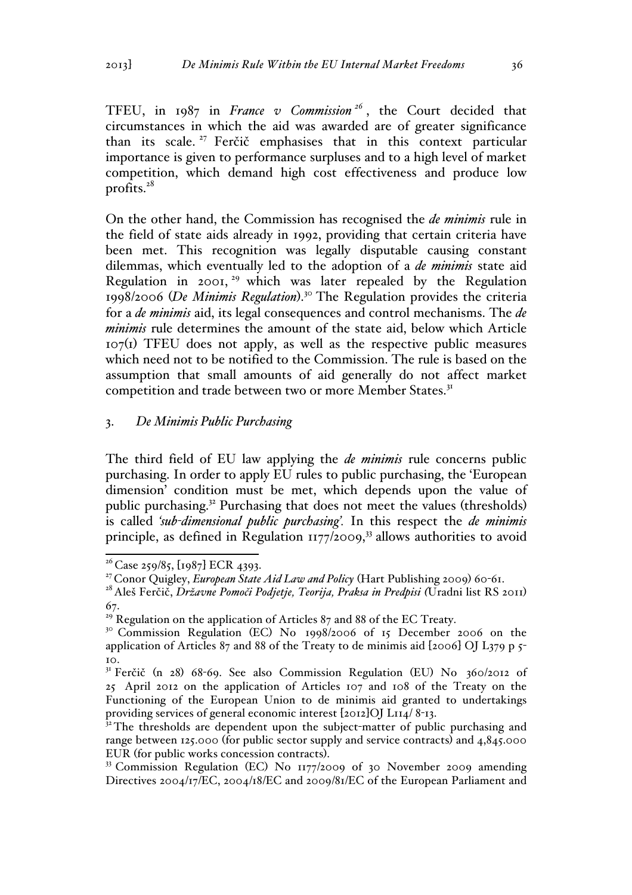TFEU, in 1987 in *France v Commission <sup>26</sup>* , the Court decided that circumstances in which the aid was awarded are of greater significance than its scale.<sup>27</sup> Ferčič emphasises that in this context particular importance is given to performance surpluses and to a high level of market competition, which demand high cost effectiveness and produce low profits.<sup>28</sup>

On the other hand, the Commission has recognised the *de minimis* rule in the field of state aids already in 1992, providing that certain criteria have been met. This recognition was legally disputable causing constant dilemmas, which eventually led to the adoption of a *de minimis* state aid Regulation in 2001,  $29$  which was later repealed by the Regulation 1998/2006 (*De Minimis Regulation*). <sup>30</sup> The Regulation provides the criteria for a *de minimis* aid, its legal consequences and control mechanisms. The *de minimis* rule determines the amount of the state aid, below which Article  $107<sub>(1)</sub>$  TFEU does not apply, as well as the respective public measures which need not to be notified to the Commission. The rule is based on the assumption that small amounts of aid generally do not affect market competition and trade between two or more Member States.<sup>31</sup>

### 3. *De Minimis Public Purchasing*

The third field of EU law applying the *de minimis* rule concerns public purchasing. In order to apply EU rules to public purchasing, the 'European dimension' condition must be met, which depends upon the value of public purchasing.32 Purchasing that does not meet the values (thresholds) is called *'sub-dimensional public purchasing'.* In this respect the *de minimis* principle, as defined in Regulation  $1177/2009$ ,<sup>33</sup> allows authorities to avoid

 $26$  Case 259/85, [1987] ECR 4393.

<sup>27</sup> Conor Quigley, *European State Aid Law and Policy* (Hart Publishing 2009) 60-61.

<sup>28</sup> Aleš Ferčič, *Državne Pomoči Podjetje, Teorija, Praksa in Predpisi (*Uradni list RS 2011) 67.

 $29$  Regulation on the application of Articles 87 and 88 of the EC Treaty.

<sup>&</sup>lt;sup>30</sup> Commission Regulation (EC) No 1998/2006 of 15 December 2006 on the application of Articles 87 and 88 of the Treaty to de minimis aid  $[2006]$  OJ L379 p 5- $10<sub>1</sub>$ 

<sup>&</sup>lt;sup>31</sup> Ferčič (n 28) 68-69. See also Commission Regulation (EU) No 360/2012 of 25 April 2012 on the application of Articles 107 and 108 of the Treaty on the Functioning of the European Union to de minimis aid granted to undertakings providing services of general economic interest [2012]OJ L114/ 8-13.

 $32$ <sup>2</sup>The thresholds are dependent upon the subject-matter of public purchasing and range between 125.000 (for public sector supply and service contracts) and 4,845.000 EUR (for public works concession contracts).<br><sup>33</sup> Commission Regulation (EC) No 1177/2009 of 30 November 2009 amending

Directives 2004/17/EC, 2004/18/EC and 2009/81/EC of the European Parliament and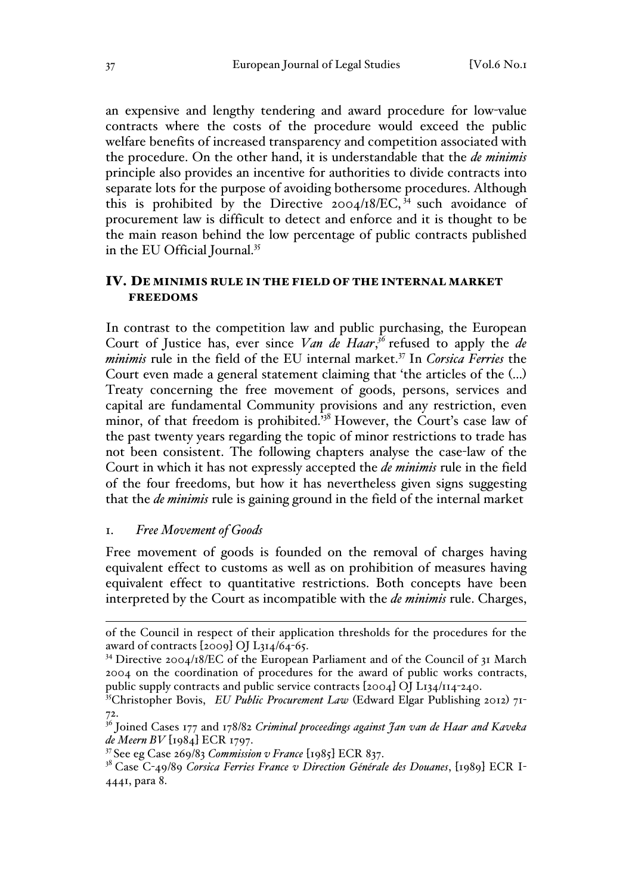an expensive and lengthy tendering and award procedure for low-value contracts where the costs of the procedure would exceed the public welfare benefits of increased transparency and competition associated with the procedure. On the other hand, it is understandable that the *de minimis* principle also provides an incentive for authorities to divide contracts into separate lots for the purpose of avoiding bothersome procedures. Although this is prohibited by the Directive 2004/18/EC,  $34$  such avoidance of procurement law is difficult to detect and enforce and it is thought to be the main reason behind the low percentage of public contracts published in the EU Official Journal.<sup>35</sup>

## IV. DE MINIMIS RULE IN THE FIELD OF THE INTERNAL MARKET FREEDOMS

In contrast to the competition law and public purchasing, the European Court of Justice has, ever since *Van de Haar*,<sup>36</sup> refused to apply the *de minimis* rule in the field of the EU internal market.<sup>37</sup> In *Corsica Ferries* the Court even made a general statement claiming that 'the articles of the (…) Treaty concerning the free movement of goods, persons, services and capital are fundamental Community provisions and any restriction, even minor, of that freedom is prohibited.<sup>338</sup> However, the Court's case law of the past twenty years regarding the topic of minor restrictions to trade has not been consistent. The following chapters analyse the case-law of the Court in which it has not expressly accepted the *de minimis* rule in the field of the four freedoms, but how it has nevertheless given signs suggesting that the *de minimis* rule is gaining ground in the field of the internal market

### 1. *Free Movement of Goods*

Free movement of goods is founded on the removal of charges having equivalent effect to customs as well as on prohibition of measures having equivalent effect to quantitative restrictions. Both concepts have been interpreted by the Court as incompatible with the *de minimis* rule. Charges,

of the Council in respect of their application thresholds for the procedures for the award of contracts [2009] OJ L314/64-65.

<sup>&</sup>lt;sup>34</sup> Directive 2004/18/EC of the European Parliament and of the Council of 31 March 2004 on the coordination of procedures for the award of public works contracts, public supply contracts and public service contracts [2004] OJ L134/114-240. 35Christopher Bovis, *EU Public Procurement Law* (Edward Elgar Publishing 2012) 71-

<sup>&</sup>lt;sup>36</sup> Joined Cases 177 and 178/82 *Criminal proceedings against Jan van de Haar and Kaveka de Meern BV* [1984] ECR 1797.

<sup>37</sup> See eg Case 269/83 *Commission v France* [1985] ECR 837.

<sup>38</sup> Case C-49/89 *Corsica Ferries France v Direction Générale des Douanes*, [1989] ECR I-4441, para 8.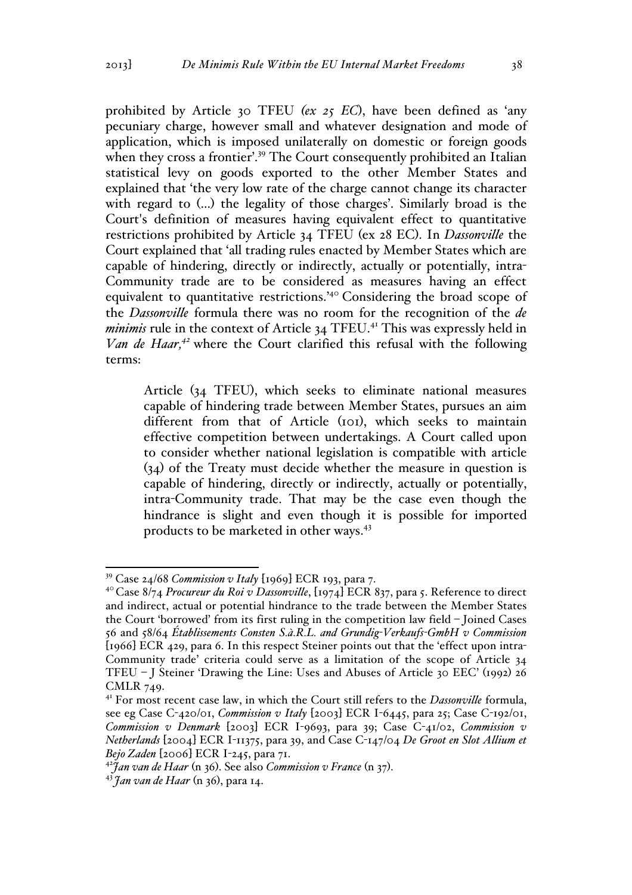prohibited by Article 30 TFEU *(ex 25 EC*), have been defined as 'any pecuniary charge, however small and whatever designation and mode of application, which is imposed unilaterally on domestic or foreign goods when they cross a frontier'.<sup>39</sup> The Court consequently prohibited an Italian statistical levy on goods exported to the other Member States and explained that 'the very low rate of the charge cannot change its character with regard to (…) the legality of those charges'. Similarly broad is the Court's definition of measures having equivalent effect to quantitative restrictions prohibited by Article 34 TFEU (ex 28 EC). In *Dassonville* the Court explained that 'all trading rules enacted by Member States which are capable of hindering, directly or indirectly, actually or potentially, intra-Community trade are to be considered as measures having an effect equivalent to quantitative restrictions.'<sup>40</sup> Considering the broad scope of the *Dassonville* formula there was no room for the recognition of the *de minimis* rule in the context of Article 34 TFEU.<sup>41</sup> This was expressly held in *Van de Haar,<sup>42</sup>* where the Court clarified this refusal with the following terms:

Article (34 TFEU), which seeks to eliminate national measures capable of hindering trade between Member States, pursues an aim different from that of Article (101), which seeks to maintain effective competition between undertakings. A Court called upon to consider whether national legislation is compatible with article (34) of the Treaty must decide whether the measure in question is capable of hindering, directly or indirectly, actually or potentially, intra-Community trade. That may be the case even though the hindrance is slight and even though it is possible for imported products to be marketed in other ways.43

 <sup>39</sup> Case 24/68 *Commission v Italy* [1969] ECR 193, para 7.

<sup>&</sup>lt;sup>40</sup> Case 8/74 *Procureur du Roi v Dassonville*, [1974] ECR 837, para 5. Reference to direct and indirect, actual or potential hindrance to the trade between the Member States the Court 'borrowed' from its first ruling in the competition law field – Joined Cases 56 and 58/64 *Établissements Consten S.à.R.L. and Grundig-Verkaufs-GmbH v Commission* [1966] ECR 429, para 6. In this respect Steiner points out that the 'effect upon intra-Community trade' criteria could serve as a limitation of the scope of Article 34 TFEU – J Steiner 'Drawing the Line: Uses and Abuses of Article 30 EEC' (1992) 26 CMLR 749.

<sup>&</sup>lt;sup>41</sup> For most recent case law, in which the Court still refers to the *Dassonville* formula, see eg Case C-420/01, *Commission v Italy* [2003] ECR I-6445, para 25; Case C-192/01, *Commission v Denmark* [2003] ECR I-9693, para 39; Case C-41/02, *Commission v Netherlands* [2004] ECR I-11375, para 39, and Case C-147/04 *De Groot en Slot Allium et Bejo Zaden* [2006] ECR I-245, para 71.

<sup>&</sup>lt;sup>42</sup>*Jan van de Haar* (n 36). See also *Commission v France* (n 37).<br><sup>43</sup> *Jan van de Haar* (n 36), para 14.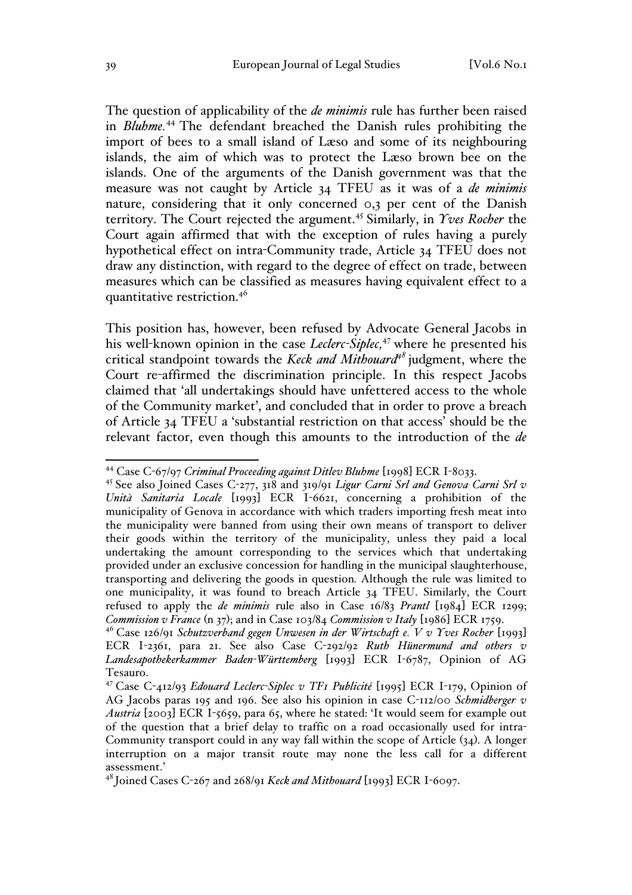The question of applicability of the *de minimis* rule has further been raised in *Bluhme.*<sup>44</sup> The defendant breached the Danish rules prohibiting the import of bees to a small island of Læso and some of its neighbouring islands, the aim of which was to protect the Læso brown bee on the islands. One of the arguments of the Danish government was that the measure was not caught by Article 34 TFEU as it was of a *de minimis*  nature, considering that it only concerned 0,3 per cent of the Danish territory. The Court rejected the argument.<sup>45</sup> Similarly, in *Yves Rocher* the Court again affirmed that with the exception of rules having a purely hypothetical effect on intra-Community trade, Article 34 TFEU does not draw any distinction, with regard to the degree of effect on trade, between measures which can be classified as measures having equivalent effect to a quantitative restriction.46

This position has, however, been refused by Advocate General Jacobs in his well-known opinion in the case *Leclerc-Siplec,*<sup>47</sup> where he presented his critical standpoint towards the *Keck and Mithouard<sup>48</sup>* judgment, where the Court re-affirmed the discrimination principle. In this respect Jacobs claimed that 'all undertakings should have unfettered access to the whole of the Community market', and concluded that in order to prove a breach of Article 34 TFEU a 'substantial restriction on that access' should be the relevant factor, even though this amounts to the introduction of the *de* 

 <sup>44</sup> Case C-67/97 *Criminal Proceeding against Ditlev Bluhme* [1998] ECR I-8033.

<sup>45</sup> See also Joined Cases C-277, 318 and 319/91 *Ligur Carni Srl and Genova Carni Srl v Unità Sanitaria Locale* [1993] ECR I-6621, concerning a prohibition of the municipality of Genova in accordance with which traders importing fresh meat into the municipality were banned from using their own means of transport to deliver their goods within the territory of the municipality, unless they paid a local undertaking the amount corresponding to the services which that undertaking provided under an exclusive concession for handling in the municipal slaughterhouse, transporting and delivering the goods in question*.* Although the rule was limited to one municipality, it was found to breach Article 34 TFEU. Similarly, the Court refused to apply the *de minimis* rule also in Case 16/83 *Prantl* [1984] ECR 1299; *Commission v France* (n 37); and in Case 103/84 *Commission v Italy* [1986] ECR 1759.

<sup>46</sup> Case 126/91 *Schutzverband gegen Unwesen in der Wirtschaft e. V v Yves Rocher* [1993] ECR I-2361, para 21. See also Case C-292/92 *Ruth Hünermund and others v Landesapothekerkammer Baden-Württemberg* [1993] ECR I-6787, Opinion of AG Tesauro.

<sup>47</sup> Case C-412/93 *Edouard Leclerc-Siplec v TF1 Publicité* [1995] ECR I-179, Opinion of AG Jacobs paras 195 and 196. See also his opinion in case C-112/00 *Schmidberger v Austria* [2003] ECR I-5659, para 65, where he stated: 'It would seem for example out of the question that a brief delay to traffic on a road occasionally used for intra-Community transport could in any way fall within the scope of Article (34). A longer interruption on a major transit route may none the less call for a different assessment.'

<sup>48</sup> Joined Cases C-267 and 268/91 *Keck and Mithouard* [1993] ECR I-6097.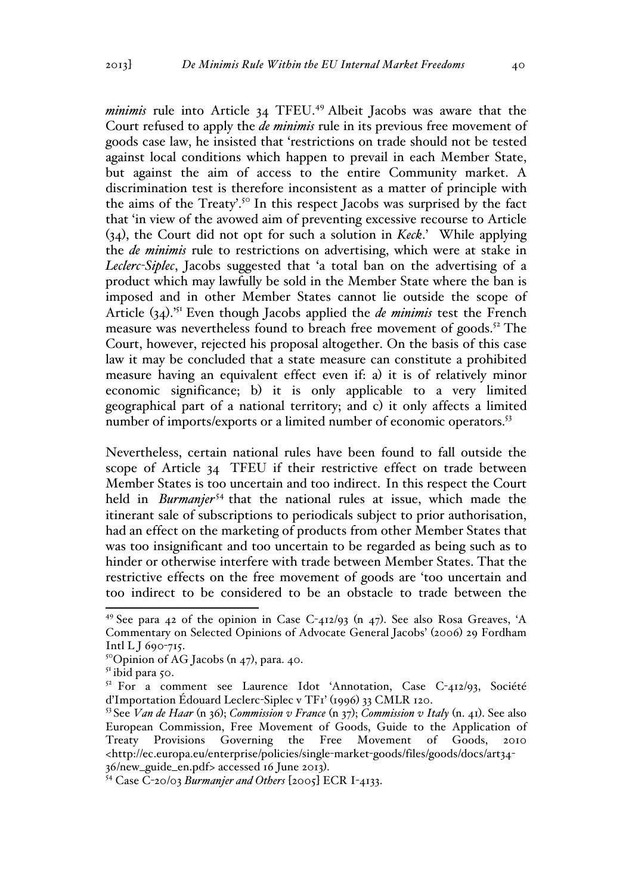*minimis* rule into Article 34 TFEU.<sup>49</sup> Albeit Jacobs was aware that the Court refused to apply the *de minimis* rule in its previous free movement of goods case law, he insisted that 'restrictions on trade should not be tested against local conditions which happen to prevail in each Member State, but against the aim of access to the entire Community market. A discrimination test is therefore inconsistent as a matter of principle with the aims of the Treaty'.<sup>50</sup> In this respect Jacobs was surprised by the fact that 'in view of the avowed aim of preventing excessive recourse to Article (34), the Court did not opt for such a solution in *Keck*.' While applying the *de minimis* rule to restrictions on advertising, which were at stake in *Leclerc-Siplec*, Jacobs suggested that 'a total ban on the advertising of a product which may lawfully be sold in the Member State where the ban is imposed and in other Member States cannot lie outside the scope of Article (34).'51 Even though Jacobs applied the *de minimis* test the French measure was nevertheless found to breach free movement of goods.<sup>52</sup> The Court, however, rejected his proposal altogether. On the basis of this case law it may be concluded that a state measure can constitute a prohibited measure having an equivalent effect even if: a) it is of relatively minor economic significance; b) it is only applicable to a very limited geographical part of a national territory; and c) it only affects a limited number of imports/exports or a limited number of economic operators.<sup>53</sup>

Nevertheless, certain national rules have been found to fall outside the scope of Article 34 TFEU if their restrictive effect on trade between Member States is too uncertain and too indirect. In this respect the Court held in *Burmanjer*<sup>54</sup> that the national rules at issue, which made the itinerant sale of subscriptions to periodicals subject to prior authorisation, had an effect on the marketing of products from other Member States that was too insignificant and too uncertain to be regarded as being such as to hinder or otherwise interfere with trade between Member States. That the restrictive effects on the free movement of goods are 'too uncertain and too indirect to be considered to be an obstacle to trade between the

<sup>&</sup>lt;sup>49</sup> See para 42 of the opinion in Case C-412/93 (n 47). See also Rosa Greaves, 'A Commentary on Selected Opinions of Advocate General Jacobs' (2006) 29 Fordham Intl L J 690-715.

 $5^{\circ}$ Opinion of AG Jacobs (n 47), para. 40.

 $51$  ibid para 50.

 $52$  For a comment see Laurence Idot 'Annotation, Case C-412/93, Société d'Importation Édouard Leclerc-Siplec v TF1' (1996) 33 CMLR 120.

<sup>53</sup> See *Van de Haar* (n 36); *Commission v France* (n 37); *Commission v Italy* (n. 41). See also European Commission, Free Movement of Goods, Guide to the Application of Treaty Provisions Governing the Free Movement of Goods, 2010 <http://ec.europa.eu/enterprise/policies/single-market-goods/files/goods/docs/art34- 36/new\_guide\_en.pdf> accessed 16 June 2013). <sup>54</sup> Case C-20/03 *Burmanjer and Others* [2005] ECR I-4133.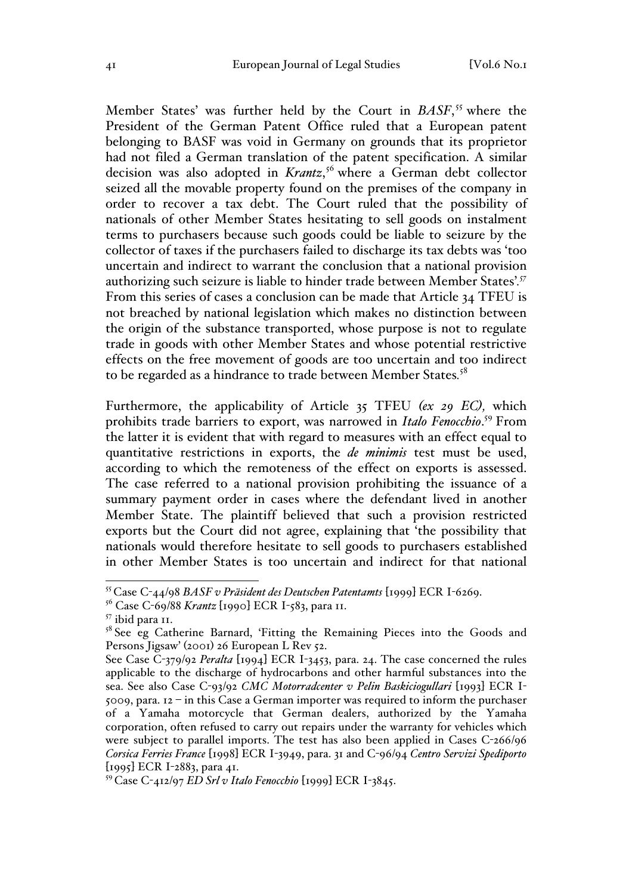Member States' was further held by the Court in *BASF*, <sup>55</sup> where the President of the German Patent Office ruled that a European patent belonging to BASF was void in Germany on grounds that its proprietor had not filed a German translation of the patent specification. A similar decision was also adopted in *Krantz*, <sup>56</sup> where a German debt collector seized all the movable property found on the premises of the company in order to recover a tax debt. The Court ruled that the possibility of nationals of other Member States hesitating to sell goods on instalment terms to purchasers because such goods could be liable to seizure by the collector of taxes if the purchasers failed to discharge its tax debts was 'too uncertain and indirect to warrant the conclusion that a national provision authorizing such seizure is liable to hinder trade between Member States'*. 57* From this series of cases a conclusion can be made that Article 34 TFEU is not breached by national legislation which makes no distinction between the origin of the substance transported, whose purpose is not to regulate trade in goods with other Member States and whose potential restrictive effects on the free movement of goods are too uncertain and too indirect to be regarded as a hindrance to trade between Member States*.* 58

Furthermore, the applicability of Article 35 TFEU *(ex 29 EC),* which prohibits trade barriers to export, was narrowed in *Italo Fenocchio*. <sup>59</sup> From the latter it is evident that with regard to measures with an effect equal to quantitative restrictions in exports, the *de minimis* test must be used, according to which the remoteness of the effect on exports is assessed. The case referred to a national provision prohibiting the issuance of a summary payment order in cases where the defendant lived in another Member State. The plaintiff believed that such a provision restricted exports but the Court did not agree, explaining that 'the possibility that nationals would therefore hesitate to sell goods to purchasers established in other Member States is too uncertain and indirect for that national

 <sup>55</sup> Case C-44/98 *BASF v Präsident des Deutschen Patentamts* [1999] ECR I-6269.

<sup>56</sup> Case C-69/88 *Krantz* [1990] ECR I-583, para 11.

 $57$  ibid para 11.<br> $58$  See eg Catherine Barnard, 'Fitting the Remaining Pieces into the Goods and Persons Jigsaw' (2001) 26 European L Rev 52.

See Case C-379/92 *Peralta* [1994] ECR I-3453, para. 24. The case concerned the rules applicable to the discharge of hydrocarbons and other harmful substances into the sea. See also Case C-93/92 *CMC Motorradcenter v Pelin Baskiciogullari* [1993] ECR I- $5009$ , para.  $12 - in this Case a German importer was required to inform the purchaser$ of a Yamaha motorcycle that German dealers, authorized by the Yamaha corporation, often refused to carry out repairs under the warranty for vehicles which were subject to parallel imports. The test has also been applied in Cases C-266/96 *Corsica Ferries France* [1998] ECR I-3949, para. 31 and C-96/94 *Centro Servizi Spediporto* [1995] ECR I-2883, para 41.

<sup>59</sup> Case C-412/97 *ED Srl v Italo Fenocchio* [1999] ECR I-3845.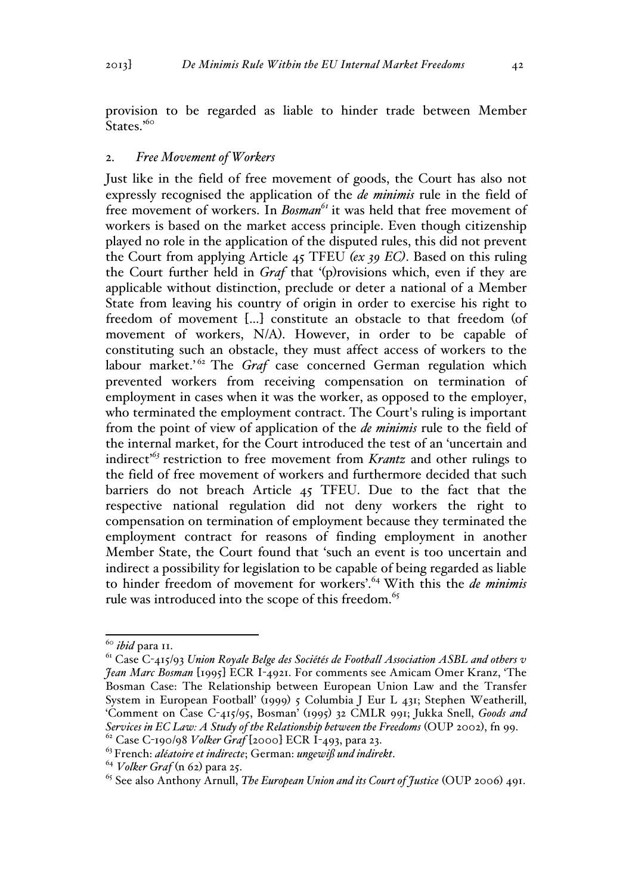provision to be regarded as liable to hinder trade between Member States.'<sup>60</sup>

### 2. *Free Movement of Workers*

Just like in the field of free movement of goods, the Court has also not expressly recognised the application of the *de minimis* rule in the field of free movement of workers. In *Bosman*<sup>61</sup> it was held that free movement of workers is based on the market access principle. Even though citizenship played no role in the application of the disputed rules, this did not prevent the Court from applying Article 45 TFEU *(ex 39 EC)*. Based on this ruling the Court further held in *Graf* that '(p)rovisions which, even if they are applicable without distinction, preclude or deter a national of a Member State from leaving his country of origin in order to exercise his right to freedom of movement […] constitute an obstacle to that freedom (of movement of workers, N/A). However, in order to be capable of constituting such an obstacle, they must affect access of workers to the labour market.<sup>'62</sup> The *Graf* case concerned German regulation which prevented workers from receiving compensation on termination of employment in cases when it was the worker, as opposed to the employer, who terminated the employment contract. The Court's ruling is important from the point of view of application of the *de minimis* rule to the field of the internal market, for the Court introduced the test of an 'uncertain and indirect' *<sup>63</sup>* restriction to free movement from *Krantz* and other rulings to the field of free movement of workers and furthermore decided that such barriers do not breach Article 45 TFEU. Due to the fact that the respective national regulation did not deny workers the right to compensation on termination of employment because they terminated the employment contract for reasons of finding employment in another Member State, the Court found that 'such an event is too uncertain and indirect a possibility for legislation to be capable of being regarded as liable to hinder freedom of movement for workers'.64 With this the *de minimis* rule was introduced into the scope of this freedom.<sup>65</sup>

 <sup>60</sup> *ibid* para 11.

<sup>61</sup> Case C-415/93 *Union Royale Belge des Sociétés de Football Association ASBL and others v Jean Marc Bosman* [1995] ECR I-4921. For comments see Amicam Omer Kranz, 'The Bosman Case: The Relationship between European Union Law and the Transfer System in European Football' (1999) 5 Columbia J Eur L 431; Stephen Weatherill, 'Comment on Case C-415/95, Bosman' (1995) 32 CMLR 991; Jukka Snell, *Goods and Services in EC Law: A Study of the Relationship between the Freedoms* (OUP 2002), fn 99. <sup>62</sup> Case C-190/98 *Volker Graf* [2000] ECR I-493, para 23.

<sup>63</sup> French: *aléatoire et indirecte*; German: *ungewiß und indirekt*. <sup>64</sup> *Volker Graf* (n 62) para 25.

<sup>65</sup> See also Anthony Arnull, *The European Union and its Court of Justice* (OUP 2006) 491.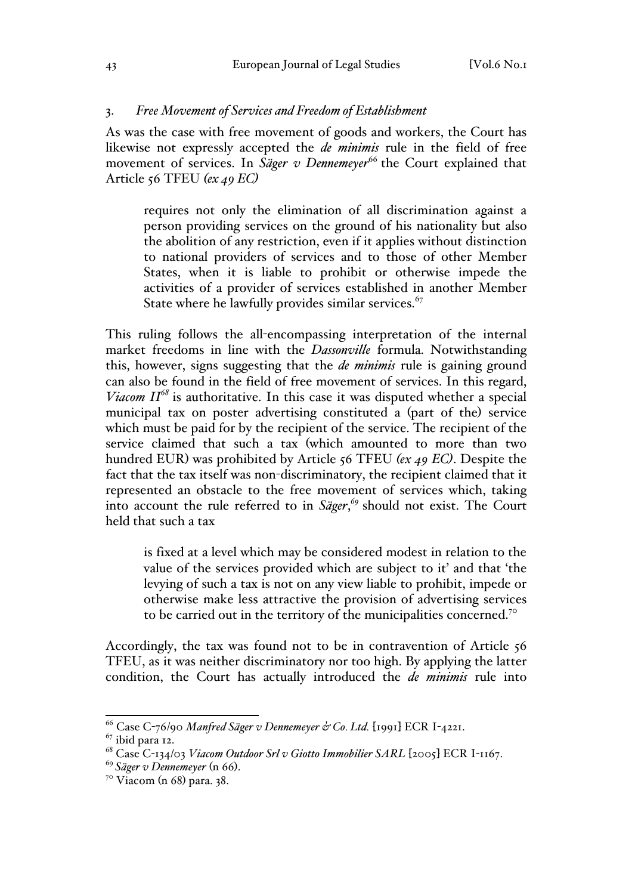### 3. *Free Movement of Services and Freedom of Establishment*

As was the case with free movement of goods and workers, the Court has likewise not expressly accepted the *de minimis* rule in the field of free movement of services. In *Säger v Dennemeyer*<sup>66</sup> the Court explained that Article 56 TFEU *(ex 49 EC)*

requires not only the elimination of all discrimination against a person providing services on the ground of his nationality but also the abolition of any restriction, even if it applies without distinction to national providers of services and to those of other Member States, when it is liable to prohibit or otherwise impede the activities of a provider of services established in another Member State where he lawfully provides similar services.<sup>67</sup>

This ruling follows the all-encompassing interpretation of the internal market freedoms in line with the *Dassonville* formula. Notwithstanding this, however, signs suggesting that the *de minimis* rule is gaining ground can also be found in the field of free movement of services. In this regard, *Viacom II<sup>68</sup>* is authoritative. In this case it was disputed whether a special municipal tax on poster advertising constituted a (part of the) service which must be paid for by the recipient of the service. The recipient of the service claimed that such a tax (which amounted to more than two hundred EUR) was prohibited by Article 56 TFEU *(ex 49 EC)*. Despite the fact that the tax itself was non-discriminatory, the recipient claimed that it represented an obstacle to the free movement of services which, taking into account the rule referred to in *Säger*, *<sup>69</sup>* should not exist. The Court held that such a tax

is fixed at a level which may be considered modest in relation to the value of the services provided which are subject to it' and that 'the levying of such a tax is not on any view liable to prohibit, impede or otherwise make less attractive the provision of advertising services to be carried out in the territory of the municipalities concerned.<sup>70</sup>

Accordingly, the tax was found not to be in contravention of Article 56 TFEU, as it was neither discriminatory nor too high. By applying the latter condition, the Court has actually introduced the *de minimis* rule into

 <sup>66</sup> Case C-76/90 *Manfred Säger v Dennemeyer & Co. Ltd.* [1991] ECR I-4221.

 $67$  ibid para 12.

<sup>68</sup> Case C-134/03 *Viacom Outdoor Srl v Giotto Immobilier SARL* [2005] ECR I-1167.

<sup>&</sup>lt;sup>69</sup> Säger v Dennemeyer (n 66).<br><sup>70</sup> Viacom (n 68) para. 38.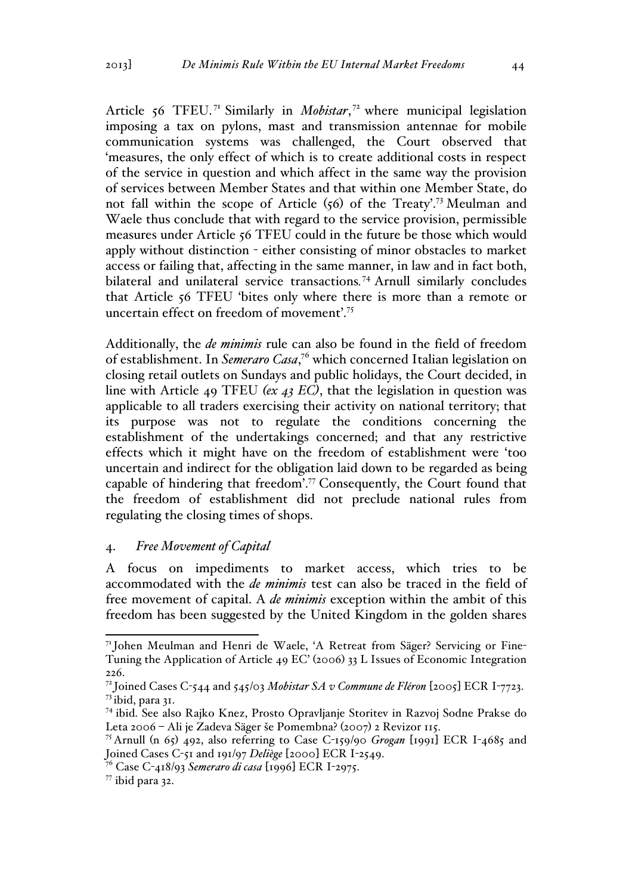Article 56 TFEU.<sup>71</sup> Similarly in *Mobistar*,<sup>72</sup> where municipal legislation imposing a tax on pylons, mast and transmission antennae for mobile communication systems was challenged, the Court observed that 'measures, the only effect of which is to create additional costs in respect of the service in question and which affect in the same way the provision of services between Member States and that within one Member State, do not fall within the scope of Article (56) of the Treaty'.73 Meulman and Waele thus conclude that with regard to the service provision, permissible measures under Article 56 TFEU could in the future be those which would apply without distinction - either consisting of minor obstacles to market access or failing that, affecting in the same manner, in law and in fact both, bilateral and unilateral service transactions*.* <sup>74</sup> Arnull similarly concludes that Article 56 TFEU 'bites only where there is more than a remote or uncertain effect on freedom of movement'.<sup>75</sup>

Additionally, the *de minimis* rule can also be found in the field of freedom of establishment. In *Semeraro Casa*, <sup>76</sup> which concerned Italian legislation on closing retail outlets on Sundays and public holidays, the Court decided, in line with Article 49 TFEU *(ex 43 EC)*, that the legislation in question was applicable to all traders exercising their activity on national territory; that its purpose was not to regulate the conditions concerning the establishment of the undertakings concerned; and that any restrictive effects which it might have on the freedom of establishment were 'too uncertain and indirect for the obligation laid down to be regarded as being capable of hindering that freedom'.77 Consequently, the Court found that the freedom of establishment did not preclude national rules from regulating the closing times of shops.

# 4. *Free Movement of Capital*

A focus on impediments to market access, which tries to be accommodated with the *de minimis* test can also be traced in the field of free movement of capital. A *de minimis* exception within the ambit of this freedom has been suggested by the United Kingdom in the golden shares

 <sup>71</sup> Johen Meulman and Henri de Waele, 'A Retreat from Säger? Servicing or Fine-Tuning the Application of Article 49 EC' (2006) 33 L Issues of Economic Integration 226.

<sup>72</sup> Joined Cases C-544 and 545/03 *Mobistar SA v Commune de Fléron* [2005] ECR I-7723. <sup>73</sup> ibid, para 31.

<sup>74</sup> ibid. See also Rajko Knez, Prosto Opravljanje Storitev in Razvoj Sodne Prakse do Leta 2006 – Ali je Zadeva Säger še Pomembna? (2007) 2 Revizor 115.

<sup>75</sup> Arnull (n 65) 492, also referring to Case C-159/90 *Grogan* [1991] ECR I-4685 and Joined Cases C-51 and 191/97 *Deliège* [2000] ECR I-2549.

<sup>76</sup> Case C-418/93 *Semeraro di casa* [1996] ECR I-2975.

 $77$  ibid para 32.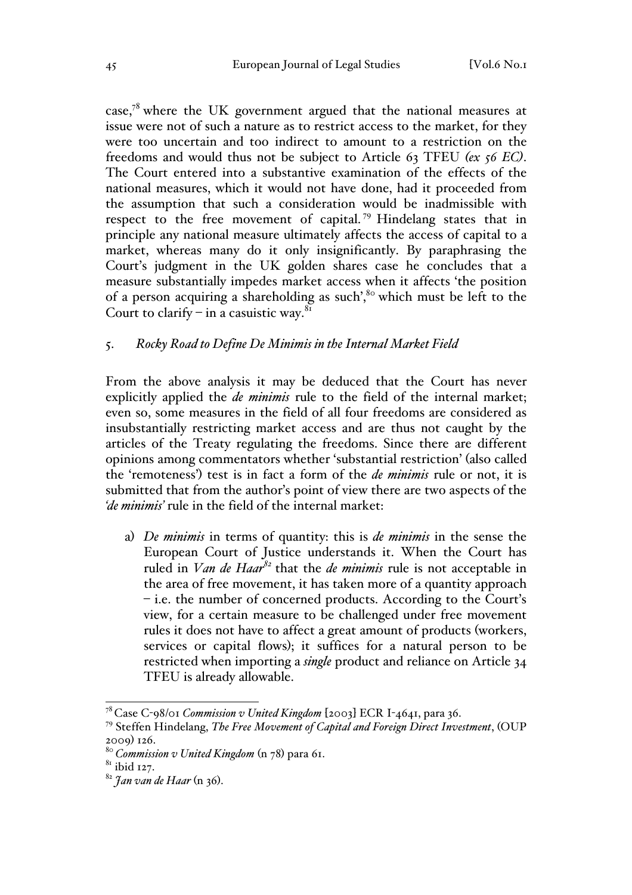case, $78$  where the UK government argued that the national measures at issue were not of such a nature as to restrict access to the market, for they were too uncertain and too indirect to amount to a restriction on the freedoms and would thus not be subject to Article 63 TFEU *(ex 56 EC)*. The Court entered into a substantive examination of the effects of the national measures, which it would not have done, had it proceeded from the assumption that such a consideration would be inadmissible with respect to the free movement of capital.<sup>79</sup> Hindelang states that in principle any national measure ultimately affects the access of capital to a market, whereas many do it only insignificantly. By paraphrasing the Court's judgment in the UK golden shares case he concludes that a measure substantially impedes market access when it affects 'the position of a person acquiring a shareholding as such',<sup>80</sup> which must be left to the Court to clarify – in a casuistic way.<sup>81</sup>

## 5. *Rocky Road to Define De Minimis in the Internal Market Field*

From the above analysis it may be deduced that the Court has never explicitly applied the *de minimis* rule to the field of the internal market; even so, some measures in the field of all four freedoms are considered as insubstantially restricting market access and are thus not caught by the articles of the Treaty regulating the freedoms. Since there are different opinions among commentators whether 'substantial restriction' (also called the 'remoteness') test is in fact a form of the *de minimis* rule or not, it is submitted that from the author's point of view there are two aspects of the *'de minimis'* rule in the field of the internal market:

a) *De minimis* in terms of quantity: this is *de minimis* in the sense the European Court of Justice understands it. When the Court has ruled in *Van de Haar<sup>82</sup>* that the *de minimis* rule is not acceptable in the area of free movement, it has taken more of a quantity approach – i.e. the number of concerned products. According to the Court's view, for a certain measure to be challenged under free movement rules it does not have to affect a great amount of products (workers, services or capital flows); it suffices for a natural person to be restricted when importing a *single* product and reliance on Article 34 TFEU is already allowable.

 <sup>78</sup> Case C-98/01 *Commission v United Kingdom* [2003] ECR I-4641, para 36.

<sup>79</sup> Steffen Hindelang, *The Free Movement of Capital and Foreign Direct Investment*, (OUP 2009) 126.

<sup>&</sup>lt;sup>80</sup> Commission v United Kingdom (n 78) para 61.<br><sup>81</sup> ibid 127.

<sup>82</sup> *Jan van de Haar* (n 36).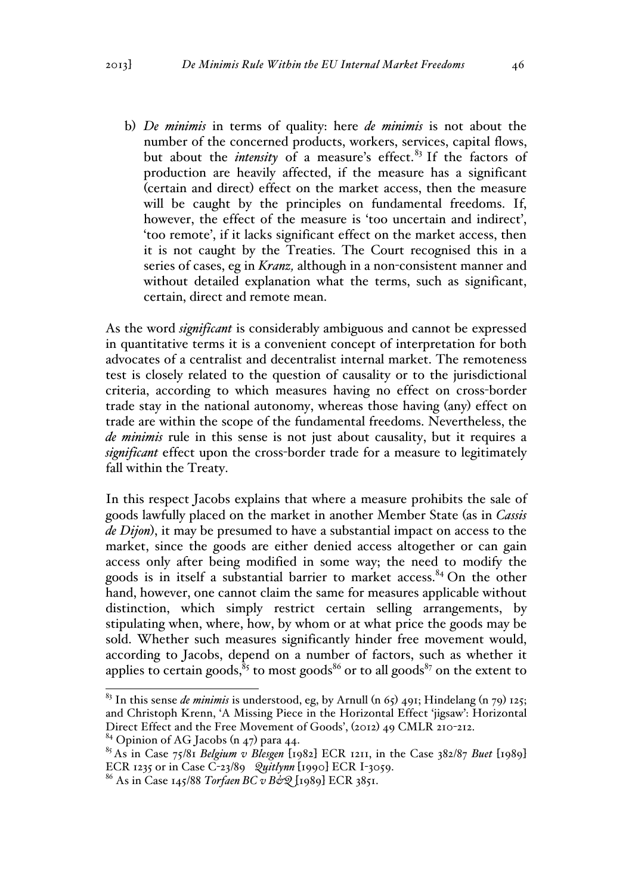b) *De minimis* in terms of quality: here *de minimis* is not about the number of the concerned products, workers, services, capital flows, but about the *intensity* of a measure's effect.<sup>83</sup> If the factors of production are heavily affected, if the measure has a significant (certain and direct) effect on the market access, then the measure will be caught by the principles on fundamental freedoms. If, however, the effect of the measure is 'too uncertain and indirect', 'too remote', if it lacks significant effect on the market access, then it is not caught by the Treaties. The Court recognised this in a series of cases, eg in *Kranz,* although in a non-consistent manner and without detailed explanation what the terms, such as significant, certain, direct and remote mean.

As the word *significant* is considerably ambiguous and cannot be expressed in quantitative terms it is a convenient concept of interpretation for both advocates of a centralist and decentralist internal market. The remoteness test is closely related to the question of causality or to the jurisdictional criteria, according to which measures having no effect on cross-border trade stay in the national autonomy, whereas those having (any) effect on trade are within the scope of the fundamental freedoms. Nevertheless, the *de minimis* rule in this sense is not just about causality, but it requires a *significant* effect upon the cross-border trade for a measure to legitimately fall within the Treaty.

In this respect Jacobs explains that where a measure prohibits the sale of goods lawfully placed on the market in another Member State (as in *Cassis de Dijon*), it may be presumed to have a substantial impact on access to the market, since the goods are either denied access altogether or can gain access only after being modified in some way; the need to modify the goods is in itself a substantial barrier to market access. $84$  On the other hand, however, one cannot claim the same for measures applicable without distinction, which simply restrict certain selling arrangements, by stipulating when, where, how, by whom or at what price the goods may be sold. Whether such measures significantly hinder free movement would, according to Jacobs, depend on a number of factors, such as whether it applies to certain goods,  ${}^{8}$  to most goods<sup>86</sup> or to all goods<sup>87</sup> on the extent to

 <sup>83</sup> In this sense *de minimis* is understood, eg, by Arnull (n 65) 491; Hindelang (n 79) 125; and Christoph Krenn, 'A Missing Piece in the Horizontal Effect 'jigsaw': Horizontal Direct Effect and the Free Movement of Goods', (2012) 49 CMLR 210-212.

 $84$  Opinion of AG Jacobs (n 47) para 44.

<sup>85</sup> As in Case 75/81 *Belgium v Blesgen* [1982] ECR 1211, in the Case 382/87 *Buet* [1989] ECR 1235 or in Case C-23/89 *Quitlynn* [1990] ECR I-3059.

<sup>86</sup> As in Case 145/88 *Torfaen BC v B&Q* [1989] ECR 3851.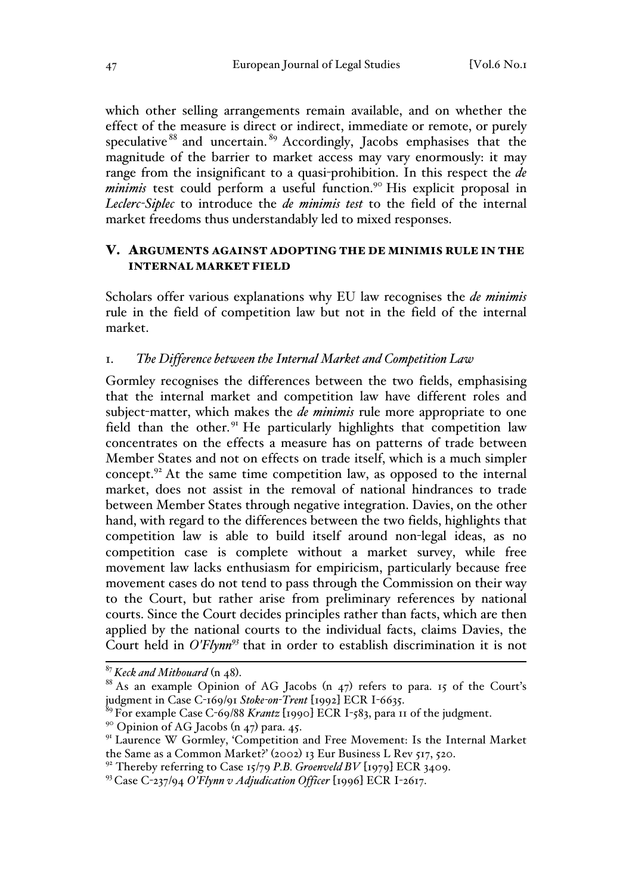which other selling arrangements remain available, and on whether the effect of the measure is direct or indirect, immediate or remote, or purely speculative<sup>88</sup> and uncertain.<sup>89</sup> Accordingly, Jacobs emphasises that the magnitude of the barrier to market access may vary enormously: it may range from the insignificant to a quasi-prohibition. In this respect the *de*  minimis test could perform a useful function.<sup>90</sup> His explicit proposal in *Leclerc-Siplec* to introduce the *de minimis test* to the field of the internal market freedoms thus understandably led to mixed responses.

# V. ARGUMENTS AGAINST ADOPTING THE DE MINIMIS RULE IN THE INTERNAL MARKET FIELD

Scholars offer various explanations why EU law recognises the *de minimis* rule in the field of competition law but not in the field of the internal market.

## 1. *The Difference between the Internal Market and Competition Law*

Gormley recognises the differences between the two fields, emphasising that the internal market and competition law have different roles and subject-matter, which makes the *de minimis* rule more appropriate to one field than the other.<sup>91</sup> He particularly highlights that competition law concentrates on the effects a measure has on patterns of trade between Member States and not on effects on trade itself, which is a much simpler concept.<sup>92</sup> At the same time competition law, as opposed to the internal market, does not assist in the removal of national hindrances to trade between Member States through negative integration. Davies, on the other hand, with regard to the differences between the two fields, highlights that competition law is able to build itself around non-legal ideas, as no competition case is complete without a market survey, while free movement law lacks enthusiasm for empiricism, particularly because free movement cases do not tend to pass through the Commission on their way to the Court, but rather arise from preliminary references by national courts. Since the Court decides principles rather than facts, which are then applied by the national courts to the individual facts, claims Davies, the Court held in *O'Flynn93* that in order to establish discrimination it is not

 $9^{\circ}$  Opinion of AG Jacobs (n 47) para. 45.

<sup>&</sup>lt;sup>87</sup> *Keck and Mithouard* (n 48).<br><sup>88</sup> As an example Opinion of AG Jacobs (n 47) refers to para. 15 of the Court's judgment in Case C-169/91 *Stoke-on-Trent* [1992] ECR I-6635.

<sup>89</sup> For example Case C-69/88 *Krantz* [1990] ECR I-583, para 11 of the judgment.

<sup>&</sup>lt;sup>91</sup> Laurence W Gormley, 'Competition and Free Movement: Is the Internal Market the Same as a Common Market?' (2002) 13 Eur Business L Rev 517, 520.

<sup>&</sup>lt;sup>92</sup> Thereby referring to Case 15/79 P.B. Groenveld BV [1979] ECR 3409.

<sup>93</sup> Case C-237/94 *O'Flynn v Adjudication Officer* [1996] ECR I-2617.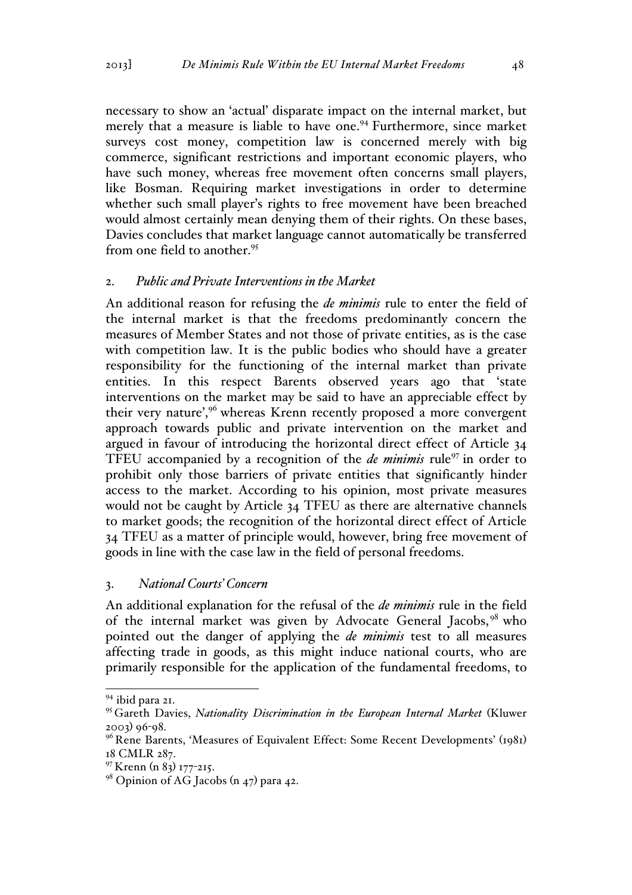necessary to show an 'actual' disparate impact on the internal market, but merely that a measure is liable to have one.<sup>94</sup> Furthermore, since market surveys cost money, competition law is concerned merely with big commerce, significant restrictions and important economic players, who have such money, whereas free movement often concerns small players, like Bosman. Requiring market investigations in order to determine whether such small player's rights to free movement have been breached would almost certainly mean denying them of their rights. On these bases, Davies concludes that market language cannot automatically be transferred from one field to another.<sup>95</sup>

## 2. *Public and Private Interventions in the Market*

An additional reason for refusing the *de minimis* rule to enter the field of the internal market is that the freedoms predominantly concern the measures of Member States and not those of private entities, as is the case with competition law. It is the public bodies who should have a greater responsibility for the functioning of the internal market than private entities. In this respect Barents observed years ago that 'state interventions on the market may be said to have an appreciable effect by their very nature',<sup>96</sup> whereas Krenn recently proposed a more convergent approach towards public and private intervention on the market and argued in favour of introducing the horizontal direct effect of Article 34 TFEU accompanied by a recognition of the *de minimis* rule<sup>97</sup> in order to prohibit only those barriers of private entities that significantly hinder access to the market. According to his opinion, most private measures would not be caught by Article 34 TFEU as there are alternative channels to market goods; the recognition of the horizontal direct effect of Article 34 TFEU as a matter of principle would, however, bring free movement of goods in line with the case law in the field of personal freedoms.

### 3. *National Courts' Concern*

An additional explanation for the refusal of the *de minimis* rule in the field of the internal market was given by Advocate General Jacobs,<sup>98</sup> who pointed out the danger of applying the *de minimis* test to all measures affecting trade in goods, as this might induce national courts, who are primarily responsible for the application of the fundamental freedoms, to

 <sup>94</sup> ibid para 21.

<sup>95</sup> Gareth Davies, *Nationality Discrimination in the European Internal Market* (Kluwer 2003) 96-98.

<sup>&</sup>lt;sup>96</sup> Rene Barents, 'Measures of Equivalent Effect: Some Recent Developments'  $(1981)$ 18 CMLR 287.

<sup>&</sup>lt;sup>97</sup> Krenn (n 83) 177-215.<br><sup>98</sup> Opinion of AG Jacobs (n 47) para 42.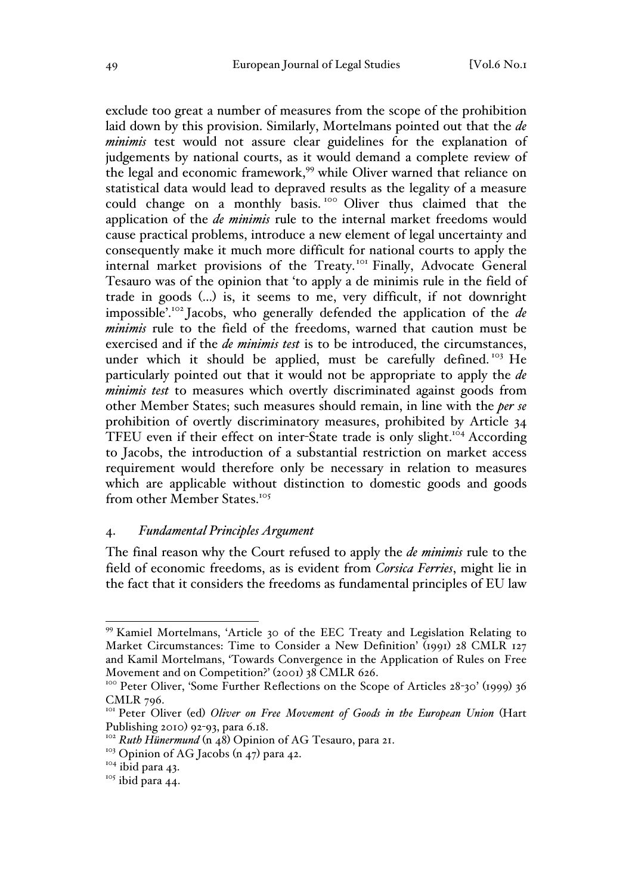exclude too great a number of measures from the scope of the prohibition laid down by this provision. Similarly, Mortelmans pointed out that the *de minimis* test would not assure clear guidelines for the explanation of judgements by national courts, as it would demand a complete review of the legal and economic framework,<sup>99</sup> while Oliver warned that reliance on statistical data would lead to depraved results as the legality of a measure could change on a monthly basis. <sup>100</sup> Oliver thus claimed that the application of the *de minimis* rule to the internal market freedoms would cause practical problems, introduce a new element of legal uncertainty and consequently make it much more difficult for national courts to apply the internal market provisions of the Treaty.<sup>101</sup> Finally, Advocate General Tesauro was of the opinion that 'to apply a de minimis rule in the field of trade in goods (…) is, it seems to me, very difficult, if not downright impossible'.<sup>102</sup> Jacobs, who generally defended the application of the *de minimis* rule to the field of the freedoms, warned that caution must be exercised and if the *de minimis test* is to be introduced, the circumstances, under which it should be applied, must be carefully defined.<sup>103</sup> He particularly pointed out that it would not be appropriate to apply the *de minimis test* to measures which overtly discriminated against goods from other Member States; such measures should remain, in line with the *per se* prohibition of overtly discriminatory measures, prohibited by Article 34 TFEU even if their effect on inter-State trade is only slight.<sup>104</sup> According to Jacobs, the introduction of a substantial restriction on market access requirement would therefore only be necessary in relation to measures which are applicable without distinction to domestic goods and goods from other Member States.105

#### 4. *Fundamental Principles Argument*

The final reason why the Court refused to apply the *de minimis* rule to the field of economic freedoms, as is evident from *Corsica Ferries*, might lie in the fact that it considers the freedoms as fundamental principles of EU law

 <sup>99</sup> Kamiel Mortelmans, 'Article 30 of the EEC Treaty and Legislation Relating to Market Circumstances: Time to Consider a New Definition' (1991) 28 CMLR 127 and Kamil Mortelmans, 'Towards Convergence in the Application of Rules on Free Movement and on Competition?' (2001) 38 CMLR 626.<br><sup>100</sup> Peter Oliver, 'Some Further Reflections on the Scope of Articles 28-30' (1999) 36

CMLR 796.

<sup>&</sup>lt;sup>101</sup> Peter Oliver (ed) *Oliver on Free Movement of Goods in the European Union* (Hart Publishing 2010) 92-93, para 6.18.<br><sup>102</sup> *Ruth Hünermund* (n 48) Opinion of AG Tesauro, para 21.

<sup>&</sup>lt;sup>103</sup> Opinion of AG Jacobs  $(n_47)$  para 42.

 $104$  ibid para 43.

<sup>&</sup>lt;sup>105</sup> ibid para 44.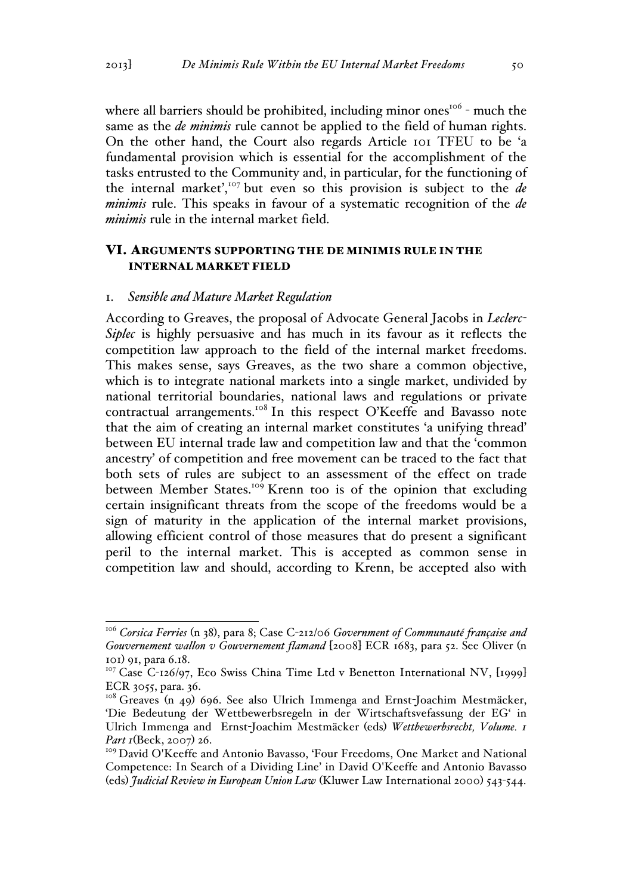where all barriers should be prohibited, including minor ones<sup>106</sup> - much the same as the *de minimis* rule cannot be applied to the field of human rights. On the other hand, the Court also regards Article 101 TFEU to be 'a fundamental provision which is essential for the accomplishment of the tasks entrusted to the Community and, in particular, for the functioning of the internal market',<sup>107</sup> but even so this provision is subject to the  $de$ *minimis* rule. This speaks in favour of a systematic recognition of the *de minimis* rule in the internal market field.

## VI. ARGUMENTS SUPPORTING THE DE MINIMIS RULE IN THE INTERNAL MARKET FIELD

#### 1. *Sensible and Mature Market Regulation*

According to Greaves, the proposal of Advocate General Jacobs in *Leclerc-Siplec* is highly persuasive and has much in its favour as it reflects the competition law approach to the field of the internal market freedoms. This makes sense, says Greaves, as the two share a common objective, which is to integrate national markets into a single market, undivided by national territorial boundaries, national laws and regulations or private contractual arrangements.<sup>108</sup> In this respect O'Keeffe and Bavasso note that the aim of creating an internal market constitutes 'a unifying thread' between EU internal trade law and competition law and that the 'common ancestry' of competition and free movement can be traced to the fact that both sets of rules are subject to an assessment of the effect on trade between Member States.<sup>109</sup> Krenn too is of the opinion that excluding certain insignificant threats from the scope of the freedoms would be a sign of maturity in the application of the internal market provisions, allowing efficient control of those measures that do present a significant peril to the internal market. This is accepted as common sense in competition law and should, according to Krenn, be accepted also with

 <sup>106</sup> *Corsica Ferries* (n 38), para 8; Case C-212/06 *Government of Communauté française and Gouvernement wallon v Gouvernement flamand* [2008] ECR 1683, para 52. See Oliver (n 101) 91, para 6.18.

<sup>&</sup>lt;sup>107</sup> Case C-126/97, Eco Swiss China Time Ltd v Benetton International NV, [1999] ECR 3055, para. 36.

<sup>&</sup>lt;sup>108</sup> Greaves (n 49) 696. See also Ulrich Immenga and Ernst-Joachim Mestmäcker, 'Die Bedeutung der Wettbewerbsregeln in der Wirtschaftsvefassung der EG' in Ulrich Immenga and Ernst-Joachim Mestmäcker (eds) *Wettbewerbsrecht, Volume. 1 Part 1*(Beck, 2007) 26.

<sup>&</sup>lt;sup>109</sup> David O'Keeffe and Antonio Bavasso, 'Four Freedoms, One Market and National Competence: In Search of a Dividing Line' in David O'Keeffe and Antonio Bavasso (eds) *Judicial Review in European Union Law* (Kluwer Law International 2000) 543-544.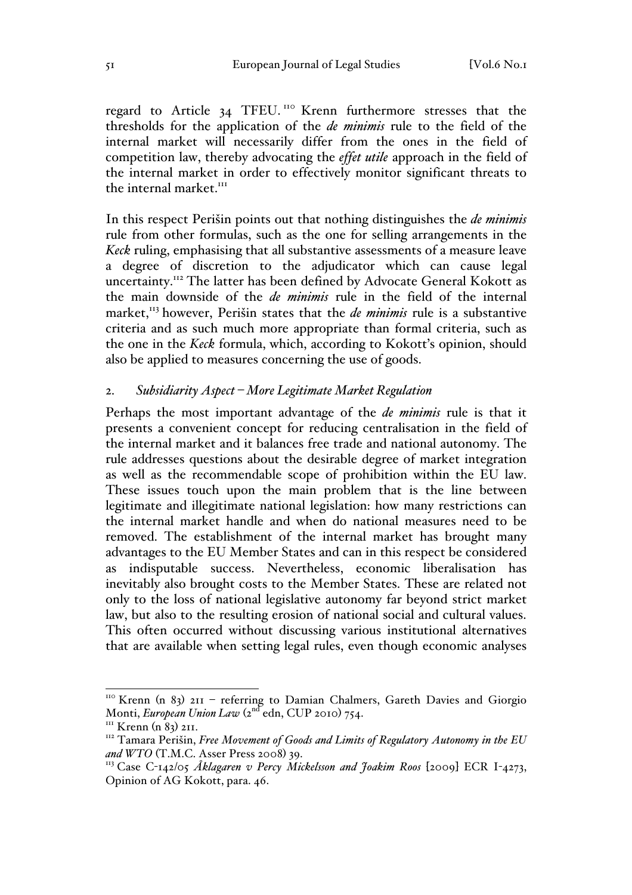regard to Article 34 TFEU.<sup>110</sup> Krenn furthermore stresses that the thresholds for the application of the *de minimis* rule to the field of the internal market will necessarily differ from the ones in the field of competition law, thereby advocating the *effet utile* approach in the field of the internal market in order to effectively monitor significant threats to the internal market. $III$ 

In this respect Perišin points out that nothing distinguishes the *de minimis* rule from other formulas, such as the one for selling arrangements in the *Keck* ruling, emphasising that all substantive assessments of a measure leave a degree of discretion to the adjudicator which can cause legal uncertainty.<sup>112</sup> The latter has been defined by Advocate General Kokott as the main downside of the *de minimis* rule in the field of the internal market,<sup>113</sup> however, Perišin states that the *de minimis* rule is a substantive criteria and as such much more appropriate than formal criteria, such as the one in the *Keck* formula, which, according to Kokott's opinion, should also be applied to measures concerning the use of goods.

## 2. *Subsidiarity Aspect – More Legitimate Market Regulation*

Perhaps the most important advantage of the *de minimis* rule is that it presents a convenient concept for reducing centralisation in the field of the internal market and it balances free trade and national autonomy. The rule addresses questions about the desirable degree of market integration as well as the recommendable scope of prohibition within the EU law. These issues touch upon the main problem that is the line between legitimate and illegitimate national legislation: how many restrictions can the internal market handle and when do national measures need to be removed. The establishment of the internal market has brought many advantages to the EU Member States and can in this respect be considered as indisputable success. Nevertheless, economic liberalisation has inevitably also brought costs to the Member States. These are related not only to the loss of national legislative autonomy far beyond strict market law, but also to the resulting erosion of national social and cultural values. This often occurred without discussing various institutional alternatives that are available when setting legal rules, even though economic analyses

<sup>&</sup>lt;sup>110</sup> Krenn (n 83) 211 - referring to Damian Chalmers, Gareth Davies and Giorgio Monti, *European Union Law* (2<sup>nd</sup> edn, CUP 2010) 754.<br><sup>III</sup> Krenn (n 83) 211.

<sup>&</sup>lt;sup>112</sup> Tamara Perišin, *Free Movement of Goods and Limits of Regulatory Autonomy in the EU and WTO* (T.M.C. Asser Press 2008) 39.

<sup>&</sup>lt;sup>113</sup> Case C-142/05 Åklagaren v Percy Mickelsson and Joakim Roos [2009] ECR I-4273, Opinion of AG Kokott, para. 46.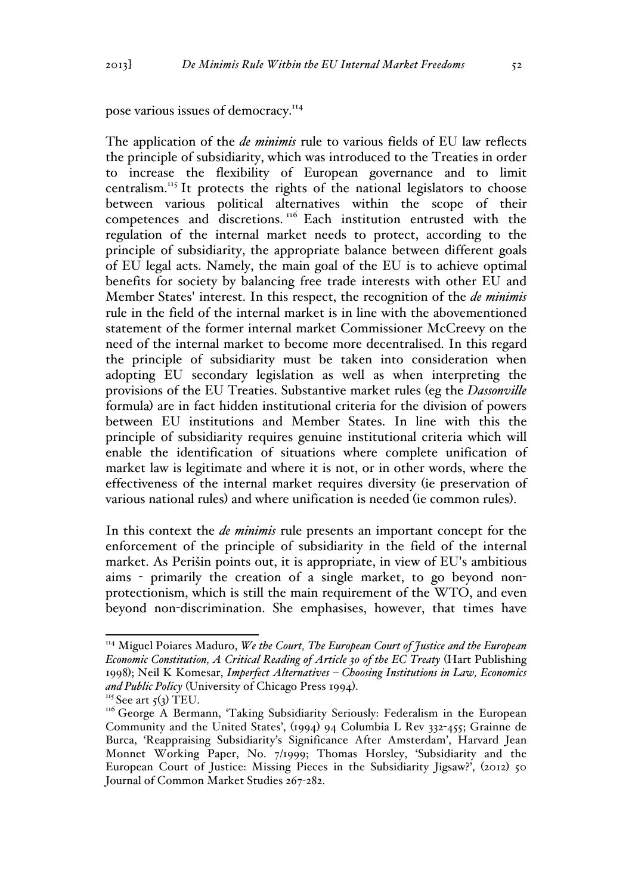pose various issues of democracy.<sup>114</sup>

The application of the *de minimis* rule to various fields of EU law reflects the principle of subsidiarity, which was introduced to the Treaties in order to increase the flexibility of European governance and to limit centralism.<sup>115</sup> It protects the rights of the national legislators to choose between various political alternatives within the scope of their competences and discretions. <sup>116</sup> Each institution entrusted with the regulation of the internal market needs to protect, according to the principle of subsidiarity, the appropriate balance between different goals of EU legal acts. Namely, the main goal of the EU is to achieve optimal benefits for society by balancing free trade interests with other EU and Member States' interest. In this respect, the recognition of the *de minimis* rule in the field of the internal market is in line with the abovementioned statement of the former internal market Commissioner McCreevy on the need of the internal market to become more decentralised. In this regard the principle of subsidiarity must be taken into consideration when adopting EU secondary legislation as well as when interpreting the provisions of the EU Treaties. Substantive market rules (eg the *Dassonville* formula) are in fact hidden institutional criteria for the division of powers between EU institutions and Member States. In line with this the principle of subsidiarity requires genuine institutional criteria which will enable the identification of situations where complete unification of market law is legitimate and where it is not, or in other words, where the effectiveness of the internal market requires diversity (ie preservation of various national rules) and where unification is needed (ie common rules).

In this context the *de minimis* rule presents an important concept for the enforcement of the principle of subsidiarity in the field of the internal market. As Perišin points out, it is appropriate, in view of EU's ambitious aims - primarily the creation of a single market, to go beyond nonprotectionism, which is still the main requirement of the WTO, and even beyond non-discrimination. She emphasises, however, that times have

 <sup>114</sup> Miguel Poiares Maduro, *We the Court, The European Court of Justice and the European Economic Constitution, A Critical Reading of Article 30 of the EC Treaty* (Hart Publishing 1998); Neil K Komesar, *Imperfect Alternatives – Choosing Institutions in Law, Economics and Public Policy* (University of Chicago Press 1994).<br><sup>115</sup> See art 5(3) TEU.

<sup>&</sup>lt;sup>116</sup> George A Bermann, 'Taking Subsidiarity Seriously: Federalism in the European Community and the United States', (1994) 94 Columbia L Rev 332-455; Grainne de Burca, 'Reappraising Subsidiarity's Significance After Amsterdam', Harvard Jean Monnet Working Paper, No. 7/1999; Thomas Horsley, 'Subsidiarity and the European Court of Justice: Missing Pieces in the Subsidiarity Jigsaw?', (2012) 50 Journal of Common Market Studies 267-282.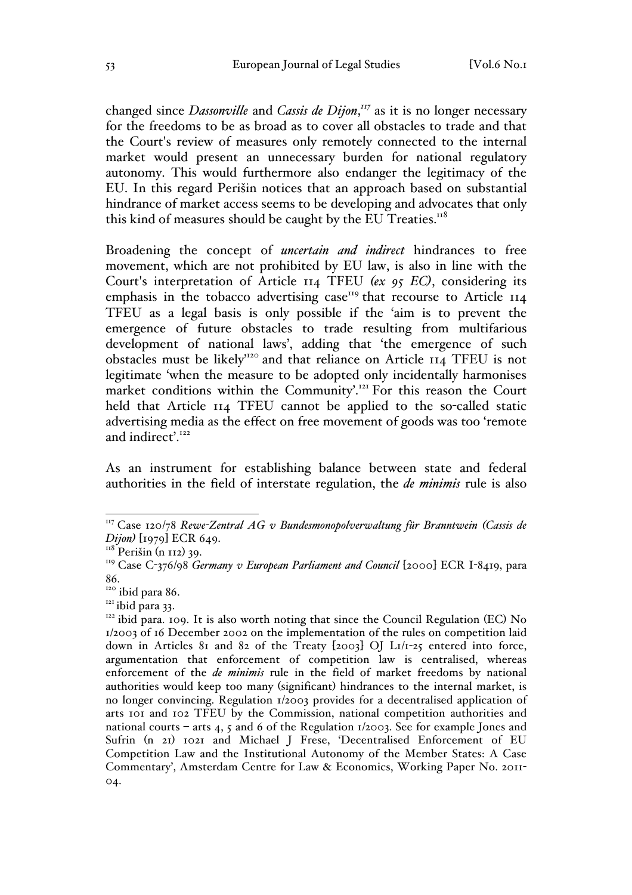changed since *Dassonville* and *Cassis de Dijon*, *<sup>117</sup>* as it is no longer necessary for the freedoms to be as broad as to cover all obstacles to trade and that the Court's review of measures only remotely connected to the internal market would present an unnecessary burden for national regulatory autonomy. This would furthermore also endanger the legitimacy of the EU. In this regard Perišin notices that an approach based on substantial hindrance of market access seems to be developing and advocates that only this kind of measures should be caught by the EU Treaties. $118$ 

Broadening the concept of *uncertain and indirect* hindrances to free movement, which are not prohibited by EU law, is also in line with the Court's interpretation of Article 114 TFEU *(ex 95 EC)*, considering its emphasis in the tobacco advertising case<sup>119</sup> that recourse to Article  $II_4$ TFEU as a legal basis is only possible if the 'aim is to prevent the emergence of future obstacles to trade resulting from multifarious development of national laws', adding that 'the emergence of such obstacles must be likely'<sup>120</sup> and that reliance on Article 114 TFEU is not legitimate 'when the measure to be adopted only incidentally harmonises market conditions within the Community'.<sup>121</sup> For this reason the Court held that Article 114 TFEU cannot be applied to the so-called static advertising media as the effect on free movement of goods was too 'remote and indirect'. $122$ 

As an instrument for establishing balance between state and federal authorities in the field of interstate regulation, the *de minimis* rule is also

 <sup>117</sup> Case 120/78 *Rewe-Zentral AG v Bundesmonopolverwaltung für Branntwein (Cassis de Dijon)* [1979] ECR 649.

 $118$  Perišin (n 112) 39.

<sup>&</sup>lt;sup>119</sup> Case C-376/98 *Germany v European Parliament and Council* [2000] ECR I-8419, para

<sup>86.&</sup>lt;br><sup>120</sup> ibid para 86.

 $121$  ibid para 33.<br> $122$  ibid para. 109. It is also worth noting that since the Council Regulation (EC) No 1/2003 of 16 December 2002 on the implementation of the rules on competition laid down in Articles 81 and 82 of the Treaty [2003] OJ L1/1-25 entered into force, argumentation that enforcement of competition law is centralised, whereas enforcement of the *de minimis* rule in the field of market freedoms by national authorities would keep too many (significant) hindrances to the internal market, is no longer convincing. Regulation 1/2003 provides for a decentralised application of arts 101 and 102 TFEU by the Commission, national competition authorities and national courts – arts 4, 5 and 6 of the Regulation  $1/2003$ . See for example Jones and Sufrin (n 21) 1021 and Michael J Frese, 'Decentralised Enforcement of EU Competition Law and the Institutional Autonomy of the Member States: A Case Commentary', Amsterdam Centre for Law & Economics, Working Paper No. 2011- 04.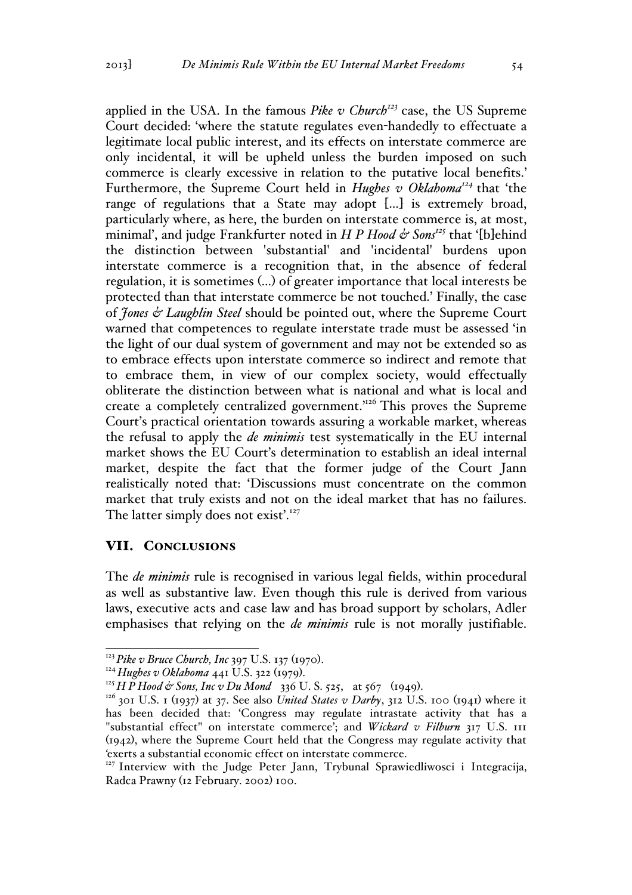applied in the USA. In the famous *Pike v Church*<sup>123</sup> case, the US Supreme Court decided: 'where the statute regulates even-handedly to effectuate a legitimate local public interest, and its effects on interstate commerce are only incidental, it will be upheld unless the burden imposed on such commerce is clearly excessive in relation to the putative local benefits.' Furthermore, the Supreme Court held in *Hughes v Oklahoma<sup>124</sup>* that 'the range of regulations that a State may adopt […] is extremely broad, particularly where, as here, the burden on interstate commerce is, at most, minimal', and judge Frankfurter noted in *H P Hood*  $\phi$  *Sons<sup>125</sup>* that '[b]ehind the distinction between 'substantial' and 'incidental' burdens upon interstate commerce is a recognition that, in the absence of federal regulation, it is sometimes (…) of greater importance that local interests be protected than that interstate commerce be not touched.' Finally, the case of *Jones & Laughlin Steel* should be pointed out, where the Supreme Court warned that competences to regulate interstate trade must be assessed 'in the light of our dual system of government and may not be extended so as to embrace effects upon interstate commerce so indirect and remote that to embrace them, in view of our complex society, would effectually obliterate the distinction between what is national and what is local and create a completely centralized government.'126 This proves the Supreme Court's practical orientation towards assuring a workable market, whereas the refusal to apply the *de minimis* test systematically in the EU internal market shows the EU Court's determination to establish an ideal internal market, despite the fact that the former judge of the Court Jann realistically noted that: 'Discussions must concentrate on the common market that truly exists and not on the ideal market that has no failures. The latter simply does not exist'.<sup>127</sup>

### VII. CONCLUSIONS

The *de minimis* rule is recognised in various legal fields, within procedural as well as substantive law. Even though this rule is derived from various laws, executive acts and case law and has broad support by scholars, Adler emphasises that relying on the *de minimis* rule is not morally justifiable.

<sup>&</sup>lt;sup>123</sup> Pike v Bruce Church, Inc 397 U.S. 137 (1970).<br><sup>124</sup> Hughes v Oklahoma 441 U.S. 322 (1979).<br><sup>125</sup> H P Hood & Sons, Inc v Du Mond 336 U.S. 525, at 567 (1949).<br><sup>126</sup> 301 U.S. 1 (1937) at 37. See also *United States v D* has been decided that: 'Congress may regulate intrastate activity that has a "substantial effect" on interstate commerce'; and *Wickard v Filburn* 317 U.S. 111 (1942), where the Supreme Court held that the Congress may regulate activity that *'*exerts a substantial economic effect on interstate commerce.

<sup>&</sup>lt;sup>127</sup> Interview with the Judge Peter Jann, Trybunal Sprawiedliwosci i Integracija, Radca Prawny (12 February. 2002) 100.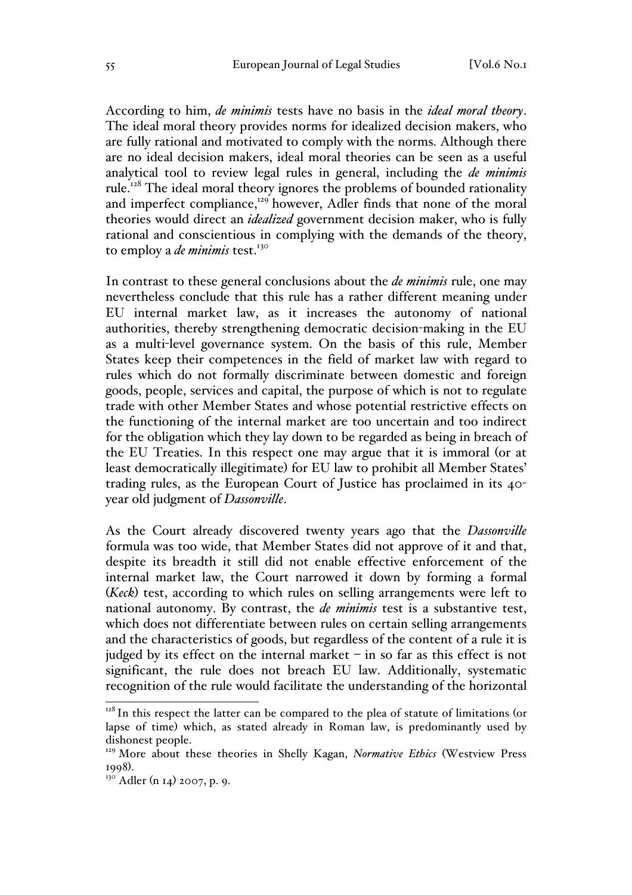According to him, *de minimis* tests have no basis in the *ideal moral theory*. The ideal moral theory provides norms for idealized decision makers, who are fully rational and motivated to comply with the norms. Although there are no ideal decision makers, ideal moral theories can be seen as a useful analytical tool to review legal rules in general, including the *de minimis* rule.<sup>128</sup> The ideal moral theory ignores the problems of bounded rationality and imperfect compliance,<sup>129</sup> however, Adler finds that none of the moral theories would direct an *idealized* government decision maker, who is fully rational and conscientious in complying with the demands of the theory, to employ a *de minimis* test.<sup>130</sup>

In contrast to these general conclusions about the *de minimis* rule, one may nevertheless conclude that this rule has a rather different meaning under EU internal market law, as it increases the autonomy of national authorities, thereby strengthening democratic decision-making in the EU as a multi-level governance system. On the basis of this rule, Member States keep their competences in the field of market law with regard to rules which do not formally discriminate between domestic and foreign goods, people, services and capital, the purpose of which is not to regulate trade with other Member States and whose potential restrictive effects on the functioning of the internal market are too uncertain and too indirect for the obligation which they lay down to be regarded as being in breach of the EU Treaties. In this respect one may argue that it is immoral (or at least democratically illegitimate) for EU law to prohibit all Member States' trading rules, as the European Court of Justice has proclaimed in its 40 year old judgment of *Dassonville*.

As the Court already discovered twenty years ago that the *Dassonville*  formula was too wide, that Member States did not approve of it and that, despite its breadth it still did not enable effective enforcement of the internal market law, the Court narrowed it down by forming a formal (*Keck*) test, according to which rules on selling arrangements were left to national autonomy. By contrast, the *de minimis* test is a substantive test, which does not differentiate between rules on certain selling arrangements and the characteristics of goods, but regardless of the content of a rule it is judged by its effect on the internal market  $-$  in so far as this effect is not significant, the rule does not breach EU law. Additionally, systematic recognition of the rule would facilitate the understanding of the horizontal

 $128$  In this respect the latter can be compared to the plea of statute of limitations (or lapse of time) which, as stated already in Roman law, is predominantly used by dishonest people.

<sup>129</sup> More about these theories in Shelly Kagan, *Normative Ethics* (Westview Press 1998).<br><sup>130</sup> Adler (n 14) 2007, p. 9.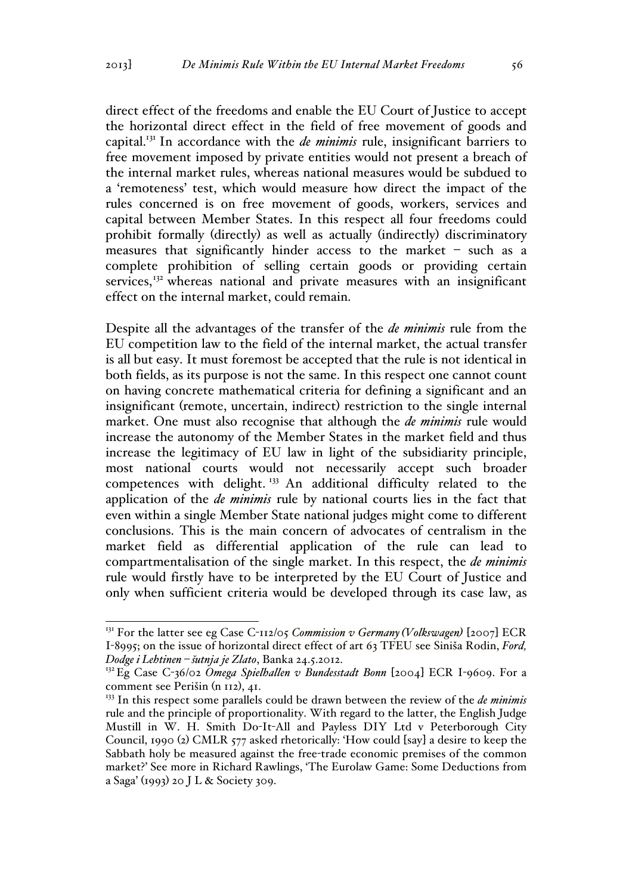direct effect of the freedoms and enable the EU Court of Justice to accept the horizontal direct effect in the field of free movement of goods and capital.131 In accordance with the *de minimis* rule, insignificant barriers to free movement imposed by private entities would not present a breach of the internal market rules, whereas national measures would be subdued to a 'remoteness' test, which would measure how direct the impact of the rules concerned is on free movement of goods, workers, services and capital between Member States. In this respect all four freedoms could prohibit formally (directly) as well as actually (indirectly) discriminatory measures that significantly hinder access to the market – such as a complete prohibition of selling certain goods or providing certain services, $132$  whereas national and private measures with an insignificant effect on the internal market, could remain.

Despite all the advantages of the transfer of the *de minimis* rule from the EU competition law to the field of the internal market, the actual transfer is all but easy. It must foremost be accepted that the rule is not identical in both fields, as its purpose is not the same. In this respect one cannot count on having concrete mathematical criteria for defining a significant and an insignificant (remote, uncertain, indirect) restriction to the single internal market. One must also recognise that although the *de minimis* rule would increase the autonomy of the Member States in the market field and thus increase the legitimacy of EU law in light of the subsidiarity principle, most national courts would not necessarily accept such broader competences with delight. <sup>133</sup> An additional difficulty related to the application of the *de minimis* rule by national courts lies in the fact that even within a single Member State national judges might come to different conclusions. This is the main concern of advocates of centralism in the market field as differential application of the rule can lead to compartmentalisation of the single market. In this respect, the *de minimis* rule would firstly have to be interpreted by the EU Court of Justice and only when sufficient criteria would be developed through its case law, as

 <sup>131</sup> For the latter see eg Case C-112/05 *Commission v Germany (Volkswagen)* [2007] ECR I-8995; on the issue of horizontal direct effect of art 63 TFEU see Siniša Rodin, *Ford, Dodge i Lehtinen – šutnja je Zlato*, Banka 24.5.2012.

<sup>132</sup>Eg Case C-36/02 *Omega Spielhallen v Bundesstadt Bonn* [2004] ECR I-9609. For a comment see Perišin (n 112), 41.

<sup>&</sup>lt;sup>133</sup> In this respect some parallels could be drawn between the review of the *de minimis* rule and the principle of proportionality. With regard to the latter, the English Judge Mustill in W. H. Smith Do-It-All and Payless DIY Ltd v Peterborough City Council, 1990 (2) CMLR 577 asked rhetorically: 'How could [say] a desire to keep the Sabbath holy be measured against the free-trade economic premises of the common market?' See more in Richard Rawlings, 'The Eurolaw Game: Some Deductions from a Saga' (1993) 20 J L & Society 309.